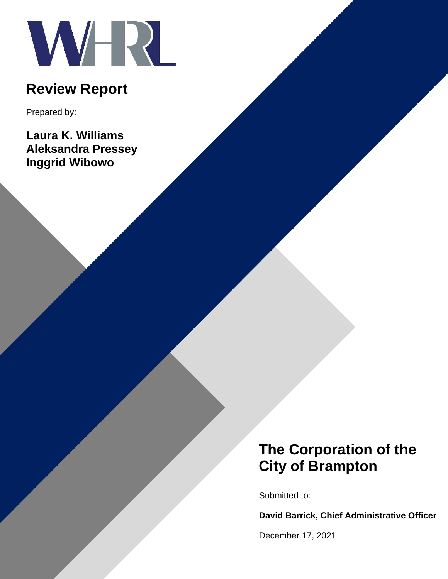

# **Review Report**

Prepared by:

**Laura K. Williams Aleksandra Pressey Inggrid Wibowo**

# **The Corporation of the City of Brampton**

Submitted to:

**David Barrick, Chief Administrative Officer**

December 17, 2021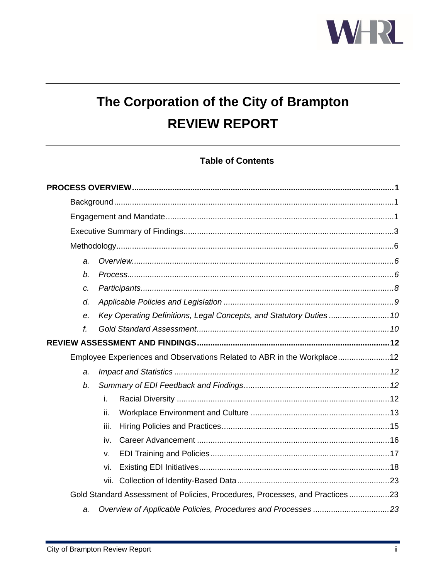

# The Corporation of the City of Brampton **REVIEW REPORT**

## **Table of Contents**

| a.                                                                       |      |                                                                              |  |  |
|--------------------------------------------------------------------------|------|------------------------------------------------------------------------------|--|--|
| b.                                                                       |      |                                                                              |  |  |
| c.                                                                       |      |                                                                              |  |  |
| d.                                                                       |      |                                                                              |  |  |
| Key Operating Definitions, Legal Concepts, and Statutory Duties 10<br>е. |      |                                                                              |  |  |
| f.                                                                       |      |                                                                              |  |  |
|                                                                          |      |                                                                              |  |  |
| Employee Experiences and Observations Related to ABR in the Workplace12  |      |                                                                              |  |  |
| a.                                                                       |      |                                                                              |  |  |
| b.                                                                       |      |                                                                              |  |  |
|                                                                          | i.   |                                                                              |  |  |
|                                                                          | ii.  |                                                                              |  |  |
|                                                                          | iii. |                                                                              |  |  |
|                                                                          | iv.  |                                                                              |  |  |
|                                                                          | v.   |                                                                              |  |  |
|                                                                          | vi.  |                                                                              |  |  |
|                                                                          |      |                                                                              |  |  |
|                                                                          |      | Gold Standard Assessment of Policies, Procedures, Processes, and Practices23 |  |  |
| a.                                                                       |      |                                                                              |  |  |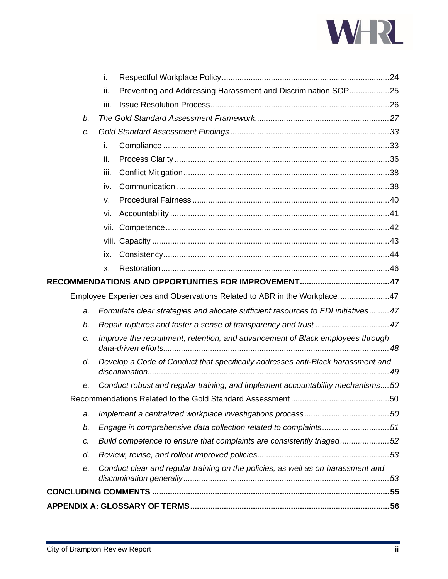

|                                                                                      | i.    |                                                                                   |  |  |
|--------------------------------------------------------------------------------------|-------|-----------------------------------------------------------------------------------|--|--|
|                                                                                      | ii.   | Preventing and Addressing Harassment and Discrimination SOP25                     |  |  |
|                                                                                      | iii.  |                                                                                   |  |  |
| b.                                                                                   |       |                                                                                   |  |  |
| c.                                                                                   |       |                                                                                   |  |  |
|                                                                                      | i.    |                                                                                   |  |  |
|                                                                                      | ii.   |                                                                                   |  |  |
|                                                                                      | iii.  |                                                                                   |  |  |
|                                                                                      | iv.   |                                                                                   |  |  |
|                                                                                      | v.    |                                                                                   |  |  |
|                                                                                      | vi.   |                                                                                   |  |  |
|                                                                                      | vii.  |                                                                                   |  |  |
|                                                                                      | viii. |                                                                                   |  |  |
|                                                                                      | ix.   |                                                                                   |  |  |
|                                                                                      | х.    |                                                                                   |  |  |
|                                                                                      |       |                                                                                   |  |  |
| Employee Experiences and Observations Related to ABR in the Workplace47              |       |                                                                                   |  |  |
| a.                                                                                   |       | Formulate clear strategies and allocate sufficient resources to EDI initiatives47 |  |  |
| b.                                                                                   |       | Repair ruptures and foster a sense of transparency and trust 47                   |  |  |
| Improve the recruitment, retention, and advancement of Black employees through<br>c. |       |                                                                                   |  |  |
| d.                                                                                   |       | Develop a Code of Conduct that specifically addresses anti-Black harassment and   |  |  |
| е.                                                                                   |       | Conduct robust and regular training, and implement accountability mechanisms50    |  |  |
|                                                                                      |       |                                                                                   |  |  |
| a.                                                                                   |       |                                                                                   |  |  |
| b.                                                                                   |       | Engage in comprehensive data collection related to complaints51                   |  |  |
| c.                                                                                   |       | Build competence to ensure that complaints are consistently triaged52             |  |  |
| d.                                                                                   |       |                                                                                   |  |  |
| е.                                                                                   |       | Conduct clear and regular training on the policies, as well as on harassment and  |  |  |
|                                                                                      |       |                                                                                   |  |  |
|                                                                                      |       |                                                                                   |  |  |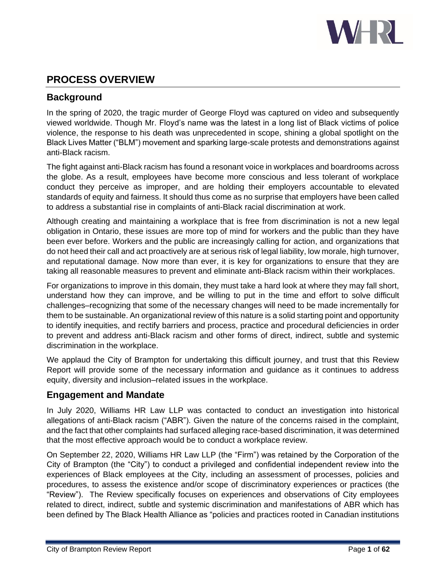

# <span id="page-3-0"></span>**PROCESS OVERVIEW**

# <span id="page-3-1"></span>**Background**

In the spring of 2020, the tragic murder of George Floyd was captured on video and subsequently viewed worldwide. Though Mr. Floyd's name was the latest in a long list of Black victims of police violence, the response to his death was unprecedented in scope, shining a global spotlight on the Black Lives Matter ("BLM") movement and sparking large-scale protests and demonstrations against anti-Black racism.

The fight against anti-Black racism has found a resonant voice in workplaces and boardrooms across the globe. As a result, employees have become more conscious and less tolerant of workplace conduct they perceive as improper, and are holding their employers accountable to elevated standards of equity and fairness. It should thus come as no surprise that employers have been called to address a substantial rise in complaints of anti-Black racial discrimination at work.

Although creating and maintaining a workplace that is free from discrimination is not a new legal obligation in Ontario, these issues are more top of mind for workers and the public than they have been ever before. Workers and the public are increasingly calling for action, and organizations that do not heed their call and act proactively are at serious risk of legal liability, low morale, high turnover, and reputational damage. Now more than ever, it is key for organizations to ensure that they are taking all reasonable measures to prevent and eliminate anti-Black racism within their workplaces.

For organizations to improve in this domain, they must take a hard look at where they may fall short, understand how they can improve, and be willing to put in the time and effort to solve difficult challenges–recognizing that some of the necessary changes will need to be made incrementally for them to be sustainable. An organizational review of this nature is a solid starting point and opportunity to identify inequities, and rectify barriers and process, practice and procedural deficiencies in order to prevent and address anti-Black racism and other forms of direct, indirect, subtle and systemic discrimination in the workplace.

We applaud the City of Brampton for undertaking this difficult journey, and trust that this Review Report will provide some of the necessary information and guidance as it continues to address equity, diversity and inclusion–related issues in the workplace.

## <span id="page-3-2"></span>**Engagement and Mandate**

In July 2020, Williams HR Law LLP was contacted to conduct an investigation into historical allegations of anti-Black racism ("ABR"). Given the nature of the concerns raised in the complaint, and the fact that other complaints had surfaced alleging race-based discrimination, it was determined that the most effective approach would be to conduct a workplace review.

On September 22, 2020, Williams HR Law LLP (the "Firm") was retained by the Corporation of the City of Brampton (the "City") to conduct a privileged and confidential independent review into the experiences of Black employees at the City, including an assessment of processes, policies and procedures, to assess the existence and/or scope of discriminatory experiences or practices (the "Review"). The Review specifically focuses on experiences and observations of City employees related to direct, indirect, subtle and systemic discrimination and manifestations of ABR which has been defined by The Black Health Alliance as "policies and practices rooted in Canadian institutions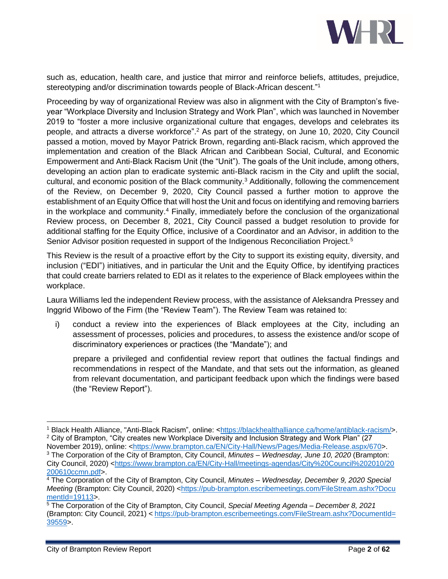

such as, education, health care, and justice that mirror and reinforce beliefs, attitudes, prejudice, stereotyping and/or discrimination towards people of Black-African descent." 1

Proceeding by way of organizational Review was also in alignment with the City of Brampton's fiveyear "Workplace Diversity and Inclusion Strategy and Work Plan", which was launched in November 2019 to "foster a more inclusive organizational culture that engages, develops and celebrates its people, and attracts a diverse workforce".<sup>2</sup> As part of the strategy, on June 10, 2020, City Council passed a motion, moved by Mayor Patrick Brown, regarding anti-Black racism, which approved the implementation and creation of the Black African and Caribbean Social, Cultural, and Economic Empowerment and Anti-Black Racism Unit (the "Unit"). The goals of the Unit include, among others, developing an action plan to eradicate systemic anti-Black racism in the City and uplift the social, cultural, and economic position of the Black community.<sup>3</sup> Additionally, following the commencement of the Review, on December 9, 2020, City Council passed a further motion to approve the establishment of an Equity Office that will host the Unit and focus on identifying and removing barriers in the workplace and community.<sup>4</sup> Finally, immediately before the conclusion of the organizational Review process, on December 8, 2021, City Council passed a budget resolution to provide for additional staffing for the Equity Office, inclusive of a Coordinator and an Advisor, in addition to the Senior Advisor position requested in support of the Indigenous Reconciliation Project.<sup>5</sup>

This Review is the result of a proactive effort by the City to support its existing equity, diversity, and inclusion ("EDI") initiatives, and in particular the Unit and the Equity Office, by identifying practices that could create barriers related to EDI as it relates to the experience of Black employees within the workplace.

Laura Williams led the independent Review process, with the assistance of Aleksandra Pressey and Inggrid Wibowo of the Firm (the "Review Team"). The Review Team was retained to:

i) conduct a review into the experiences of Black employees at the City, including an assessment of processes, policies and procedures, to assess the existence and/or scope of discriminatory experiences or practices (the "Mandate"); and

prepare a privileged and confidential review report that outlines the factual findings and recommendations in respect of the Mandate, and that sets out the information, as gleaned from relevant documentation, and participant feedback upon which the findings were based (the "Review Report").

<span id="page-4-0"></span><sup>1</sup> Black Health Alliance, "Anti-Black Racism", online: [<https://blackhealthalliance.ca/home/antiblack-racism/>](https://blackhealthalliance.ca/home/antiblack-racism/).  $2$  City of Brampton, "City creates new Workplace Diversity and Inclusion Strategy and Work Plan" (27

November 2019), online: [<https://www.brampton.ca/EN/City-Hall/News/Pages/Media-Release.aspx/670>](https://www.brampton.ca/EN/City-Hall/News/Pages/Media-Release.aspx/670). <sup>3</sup> The Corporation of the City of Brampton, City Council, *Minutes – Wednesday, June 10, 2020* (Brampton: City Council, 2020) [<https://www.brampton.ca/EN/City-Hall/meetings-agendas/City%20Council%202010/20](https://www.brampton.ca/EN/City-Hall/meetings-agendas/City%20Council%202010/20200610ccmn.pdf) [200610ccmn.pdf>](https://www.brampton.ca/EN/City-Hall/meetings-agendas/City%20Council%202010/20200610ccmn.pdf).

<sup>4</sup> The Corporation of the City of Brampton, City Council, *Minutes – Wednesday, December 9, 2020 Special Meeting* (Brampton: City Council, 2020) [<https://pub-brampton.escribemeetings.com/FileStream.ashx?Docu](https://pub-brampton.escribemeetings.com/FileStream.ashx?DocumentId=19113) [mentId=19113>](https://pub-brampton.escribemeetings.com/FileStream.ashx?DocumentId=19113).

<sup>5</sup> The Corporation of the City of Brampton, City Council, *Special Meeting Agenda – December 8, 2021*  (Brampton: City Council, 2021) < [https://pub-brampton.escribemeetings.com/FileStream.ashx?DocumentId=](https://pub-brampton.escribemeetings.com/FileStream.ashx?DocumentId=39559) [39559>](https://pub-brampton.escribemeetings.com/FileStream.ashx?DocumentId=39559).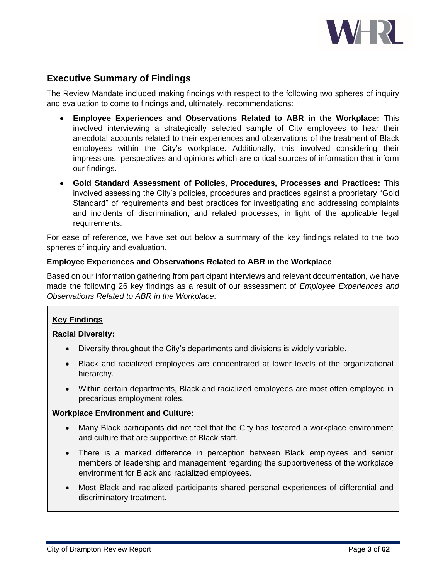

# **Executive Summary of Findings**

The Review Mandate included making findings with respect to the following two spheres of inquiry and evaluation to come to findings and, ultimately, recommendations:

- **Employee Experiences and Observations Related to ABR in the Workplace:** This involved interviewing a strategically selected sample of City employees to hear their anecdotal accounts related to their experiences and observations of the treatment of Black employees within the City's workplace. Additionally, this involved considering their impressions, perspectives and opinions which are critical sources of information that inform our findings.
- **Gold Standard Assessment of Policies, Procedures, Processes and Practices:** This involved assessing the City's policies, procedures and practices against a proprietary "Gold Standard" of requirements and best practices for investigating and addressing complaints and incidents of discrimination, and related processes, in light of the applicable legal requirements.

For ease of reference, we have set out below a summary of the key findings related to the two spheres of inquiry and evaluation.

#### **Employee Experiences and Observations Related to ABR in the Workplace**

Based on our information gathering from participant interviews and relevant documentation, we have made the following 26 key findings as a result of our assessment of *Employee Experiences and Observations Related to ABR in the Workplace*:

## **Key Findings**

#### **Racial Diversity:**

- Diversity throughout the City's departments and divisions is widely variable.
- Black and racialized employees are concentrated at lower levels of the organizational hierarchy.
- Within certain departments, Black and racialized employees are most often employed in precarious employment roles.

#### **Workplace Environment and Culture:**

- Many Black participants did not feel that the City has fostered a workplace environment and culture that are supportive of Black staff.
- There is a marked difference in perception between Black employees and senior members of leadership and management regarding the supportiveness of the workplace environment for Black and racialized employees.
- Most Black and racialized participants shared personal experiences of differential and discriminatory treatment.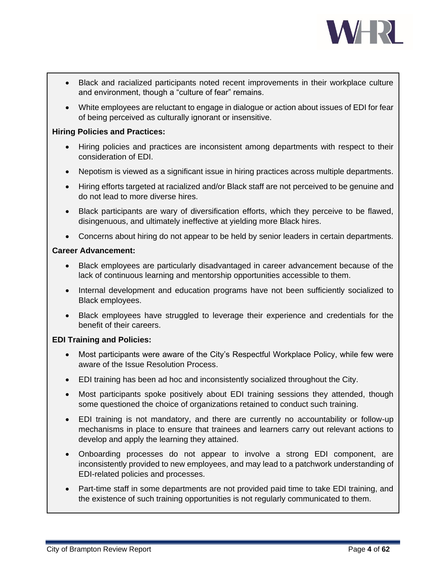

- Black and racialized participants noted recent improvements in their workplace culture and environment, though a "culture of fear" remains.
- White employees are reluctant to engage in dialogue or action about issues of EDI for fear of being perceived as culturally ignorant or insensitive.

#### **Hiring Policies and Practices:**

- Hiring policies and practices are inconsistent among departments with respect to their consideration of EDI.
- Nepotism is viewed as a significant issue in hiring practices across multiple departments.
- Hiring efforts targeted at racialized and/or Black staff are not perceived to be genuine and do not lead to more diverse hires.
- Black participants are wary of diversification efforts, which they perceive to be flawed, disingenuous, and ultimately ineffective at yielding more Black hires.
- Concerns about hiring do not appear to be held by senior leaders in certain departments.

#### **Career Advancement:**

- Black employees are particularly disadvantaged in career advancement because of the lack of continuous learning and mentorship opportunities accessible to them.
- Internal development and education programs have not been sufficiently socialized to Black employees.
- Black employees have struggled to leverage their experience and credentials for the benefit of their careers.

## **EDI Training and Policies:**

- Most participants were aware of the City's Respectful Workplace Policy, while few were aware of the Issue Resolution Process.
- EDI training has been ad hoc and inconsistently socialized throughout the City.
- Most participants spoke positively about EDI training sessions they attended, though some questioned the choice of organizations retained to conduct such training.
- EDI training is not mandatory, and there are currently no accountability or follow-up mechanisms in place to ensure that trainees and learners carry out relevant actions to develop and apply the learning they attained.
- Onboarding processes do not appear to involve a strong EDI component, are inconsistently provided to new employees, and may lead to a patchwork understanding of EDI-related policies and processes.
- Part-time staff in some departments are not provided paid time to take EDI training, and the existence of such training opportunities is not regularly communicated to them.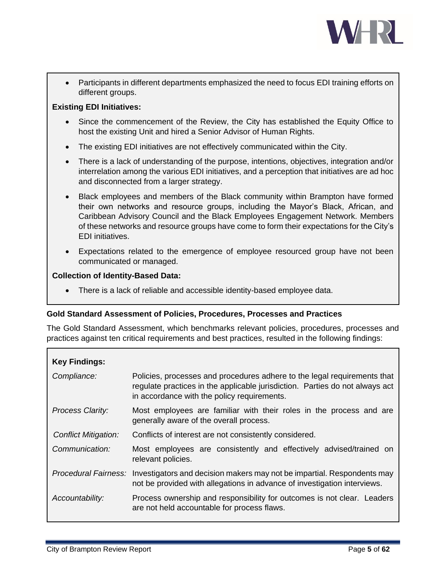

• Participants in different departments emphasized the need to focus EDI training efforts on different groups.

## **Existing EDI Initiatives:**

- Since the commencement of the Review, the City has established the Equity Office to host the existing Unit and hired a Senior Advisor of Human Rights.
- The existing EDI initiatives are not effectively communicated within the City.
- There is a lack of understanding of the purpose, intentions, objectives, integration and/or interrelation among the various EDI initiatives, and a perception that initiatives are ad hoc and disconnected from a larger strategy.
- Black employees and members of the Black community within Brampton have formed their own networks and resource groups, including the Mayor's Black, African, and Caribbean Advisory Council and the Black Employees Engagement Network. Members of these networks and resource groups have come to form their expectations for the City's EDI initiatives.
- Expectations related to the emergence of employee resourced group have not been communicated or managed.

## **Collection of Identity-Based Data:**

• There is a lack of reliable and accessible identity-based employee data.

#### **Gold Standard Assessment of Policies, Procedures, Processes and Practices**

The Gold Standard Assessment, which benchmarks relevant policies, procedures, processes and practices against ten critical requirements and best practices, resulted in the following findings:

| <b>Key Findings:</b>        |                                                                                                                                                                                                         |
|-----------------------------|---------------------------------------------------------------------------------------------------------------------------------------------------------------------------------------------------------|
| Compliance:                 | Policies, processes and procedures adhere to the legal requirements that<br>regulate practices in the applicable jurisdiction. Parties do not always act<br>in accordance with the policy requirements. |
| <b>Process Clarity:</b>     | Most employees are familiar with their roles in the process and are<br>generally aware of the overall process.                                                                                          |
| <b>Conflict Mitigation:</b> | Conflicts of interest are not consistently considered.                                                                                                                                                  |
| Communication:              | Most employees are consistently and effectively advised/trained on<br>relevant policies.                                                                                                                |
|                             | Procedural Fairness: Investigators and decision makers may not be impartial. Respondents may<br>not be provided with allegations in advance of investigation interviews.                                |
| Accountability:             | Process ownership and responsibility for outcomes is not clear. Leaders<br>are not held accountable for process flaws.                                                                                  |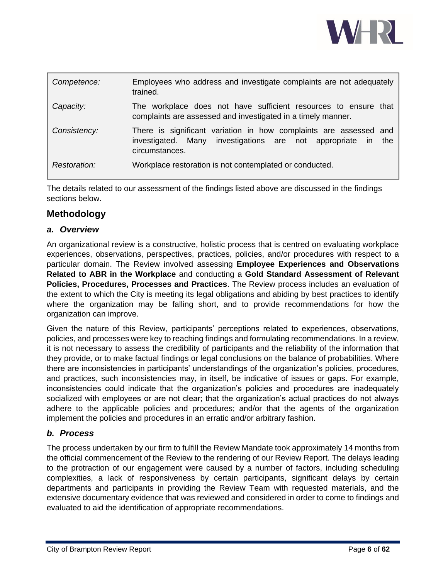

| Competence:  | Employees who address and investigate complaints are not adequately<br>trained.                                                                        |
|--------------|--------------------------------------------------------------------------------------------------------------------------------------------------------|
| Capacity:    | The workplace does not have sufficient resources to ensure that<br>complaints are assessed and investigated in a timely manner.                        |
| Consistency: | There is significant variation in how complaints are assessed and<br>investigated. Many investigations are not appropriate in<br>the<br>circumstances. |
| Restoration: | Workplace restoration is not contemplated or conducted.                                                                                                |

The details related to our assessment of the findings listed above are discussed in the findings sections below.

## <span id="page-8-0"></span>**Methodology**

## <span id="page-8-1"></span>*a. Overview*

An organizational review is a constructive, holistic process that is centred on evaluating workplace experiences, observations, perspectives, practices, policies, and/or procedures with respect to a particular domain. The Review involved assessing **Employee Experiences and Observations Related to ABR in the Workplace** and conducting a **Gold Standard Assessment of Relevant Policies, Procedures, Processes and Practices**. The Review process includes an evaluation of the extent to which the City is meeting its legal obligations and abiding by best practices to identify where the organization may be falling short, and to provide recommendations for how the organization can improve.

Given the nature of this Review, participants' perceptions related to experiences, observations, policies, and processes were key to reaching findings and formulating recommendations. In a review, it is not necessary to assess the credibility of participants and the reliability of the information that they provide, or to make factual findings or legal conclusions on the balance of probabilities. Where there are inconsistencies in participants' understandings of the organization's policies, procedures, and practices, such inconsistencies may, in itself, be indicative of issues or gaps. For example, inconsistencies could indicate that the organization's policies and procedures are inadequately socialized with employees or are not clear; that the organization's actual practices do not always adhere to the applicable policies and procedures; and/or that the agents of the organization implement the policies and procedures in an erratic and/or arbitrary fashion.

## <span id="page-8-2"></span>*b. Process*

The process undertaken by our firm to fulfill the Review Mandate took approximately 14 months from the official commencement of the Review to the rendering of our Review Report. The delays leading to the protraction of our engagement were caused by a number of factors, including scheduling complexities, a lack of responsiveness by certain participants, significant delays by certain departments and participants in providing the Review Team with requested materials, and the extensive documentary evidence that was reviewed and considered in order to come to findings and evaluated to aid the identification of appropriate recommendations.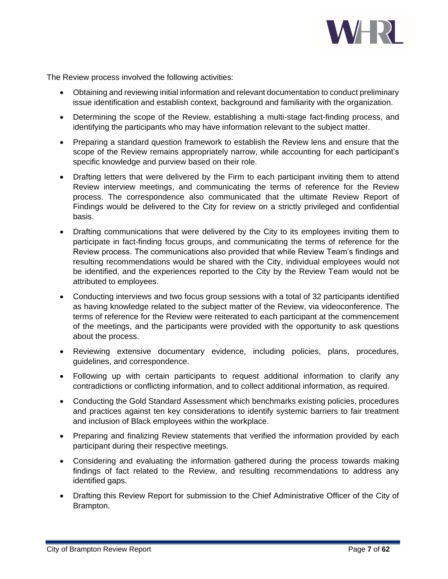

The Review process involved the following activities:

- Obtaining and reviewing initial information and relevant documentation to conduct preliminary issue identification and establish context, background and familiarity with the organization.
- Determining the scope of the Review, establishing a multi-stage fact-finding process, and identifying the participants who may have information relevant to the subject matter.
- Preparing a standard question framework to establish the Review lens and ensure that the scope of the Review remains appropriately narrow, while accounting for each participant's specific knowledge and purview based on their role.
- Drafting letters that were delivered by the Firm to each participant inviting them to attend Review interview meetings, and communicating the terms of reference for the Review process. The correspondence also communicated that the ultimate Review Report of Findings would be delivered to the City for review on a strictly privileged and confidential basis.
- Drafting communications that were delivered by the City to its employees inviting them to participate in fact-finding focus groups, and communicating the terms of reference for the Review process. The communications also provided that while Review Team's findings and resulting recommendations would be shared with the City, individual employees would not be identified, and the experiences reported to the City by the Review Team would not be attributed to employees.
- Conducting interviews and two focus group sessions with a total of 32 participants identified as having knowledge related to the subject matter of the Review, via videoconference. The terms of reference for the Review were reiterated to each participant at the commencement of the meetings, and the participants were provided with the opportunity to ask questions about the process.
- Reviewing extensive documentary evidence, including policies, plans, procedures, guidelines, and correspondence.
- Following up with certain participants to request additional information to clarify any contradictions or conflicting information, and to collect additional information, as required.
- Conducting the Gold Standard Assessment which benchmarks existing policies, procedures and practices against ten key considerations to identify systemic barriers to fair treatment and inclusion of Black employees within the workplace.
- Preparing and finalizing Review statements that verified the information provided by each participant during their respective meetings.
- Considering and evaluating the information gathered during the process towards making findings of fact related to the Review, and resulting recommendations to address any identified gaps.
- Drafting this Review Report for submission to the Chief Administrative Officer of the City of Brampton.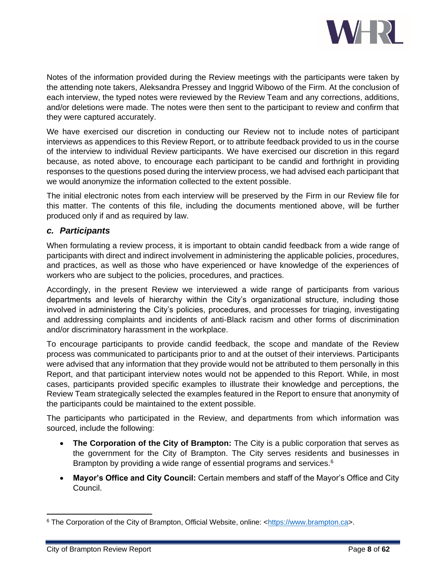

Notes of the information provided during the Review meetings with the participants were taken by the attending note takers, Aleksandra Pressey and Inggrid Wibowo of the Firm. At the conclusion of each interview, the typed notes were reviewed by the Review Team and any corrections, additions, and/or deletions were made. The notes were then sent to the participant to review and confirm that they were captured accurately.

We have exercised our discretion in conducting our Review not to include notes of participant interviews as appendices to this Review Report, or to attribute feedback provided to us in the course of the interview to individual Review participants. We have exercised our discretion in this regard because, as noted above, to encourage each participant to be candid and forthright in providing responses to the questions posed during the interview process, we had advised each participant that we would anonymize the information collected to the extent possible.

The initial electronic notes from each interview will be preserved by the Firm in our Review file for this matter. The contents of this file, including the documents mentioned above, will be further produced only if and as required by law.

## <span id="page-10-0"></span>*c. Participants*

When formulating a review process, it is important to obtain candid feedback from a wide range of participants with direct and indirect involvement in administering the applicable policies, procedures, and practices, as well as those who have experienced or have knowledge of the experiences of workers who are subject to the policies, procedures, and practices.

Accordingly, in the present Review we interviewed a wide range of participants from various departments and levels of hierarchy within the City's organizational structure, including those involved in administering the City's policies, procedures, and processes for triaging, investigating and addressing complaints and incidents of anti-Black racism and other forms of discrimination and/or discriminatory harassment in the workplace.

To encourage participants to provide candid feedback, the scope and mandate of the Review process was communicated to participants prior to and at the outset of their interviews. Participants were advised that any information that they provide would not be attributed to them personally in this Report, and that participant interview notes would not be appended to this Report. While, in most cases, participants provided specific examples to illustrate their knowledge and perceptions, the Review Team strategically selected the examples featured in the Report to ensure that anonymity of the participants could be maintained to the extent possible.

The participants who participated in the Review, and departments from which information was sourced, include the following:

- **The Corporation of the City of Brampton:** The City is a public corporation that serves as the government for the City of Brampton. The City serves residents and businesses in Brampton by providing a wide range of essential programs and services.<sup>6</sup>
- **Mayor's Office and City Council:** Certain members and staff of the Mayor's Office and City Council.

<sup>&</sup>lt;sup>6</sup> The Corporation of the City of Brampton, Official Website, online: [<https://www.brampton.ca>](https://www.brampton.ca/).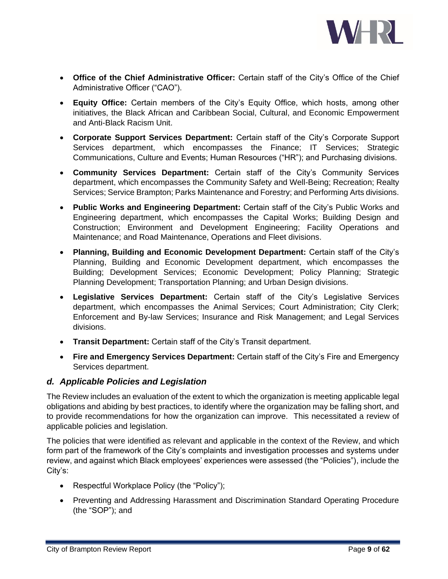

- **Office of the Chief Administrative Officer:** Certain staff of the City's Office of the Chief Administrative Officer ("CAO").
- **Equity Office:** Certain members of the City's Equity Office, which hosts, among other initiatives, the Black African and Caribbean Social, Cultural, and Economic Empowerment and Anti-Black Racism Unit.
- **Corporate Support Services Department:** Certain staff of the City's Corporate Support Services department, which encompasses the Finance; IT Services; Strategic Communications, Culture and Events; Human Resources ("HR"); and Purchasing divisions.
- **Community Services Department:** Certain staff of the City's Community Services department, which encompasses the Community Safety and Well-Being; Recreation; Realty Services; Service Brampton; Parks Maintenance and Forestry; and Performing Arts divisions.
- **Public Works and Engineering Department:** Certain staff of the City's Public Works and Engineering department, which encompasses the Capital Works; Building Design and Construction; Environment and Development Engineering; Facility Operations and Maintenance; and Road Maintenance, Operations and Fleet divisions.
- **Planning, Building and Economic Development Department:** Certain staff of the City's Planning, Building and Economic Development department, which encompasses the Building; Development Services; Economic Development; Policy Planning; Strategic Planning Development; Transportation Planning; and Urban Design divisions.
- **Legislative Services Department:** Certain staff of the City's Legislative Services department, which encompasses the Animal Services; Court Administration; City Clerk; Enforcement and By-law Services; Insurance and Risk Management; and Legal Services divisions.
- **Transit Department:** Certain staff of the City's Transit department.
- **Fire and Emergency Services Department:** Certain staff of the City's Fire and Emergency Services department.

## <span id="page-11-0"></span>*d. Applicable Policies and Legislation*

The Review includes an evaluation of the extent to which the organization is meeting applicable legal obligations and abiding by best practices, to identify where the organization may be falling short, and to provide recommendations for how the organization can improve. This necessitated a review of applicable policies and legislation.

The policies that were identified as relevant and applicable in the context of the Review, and which form part of the framework of the City's complaints and investigation processes and systems under review, and against which Black employees' experiences were assessed (the "Policies"), include the City's:

- Respectful Workplace Policy (the "Policy");
- Preventing and Addressing Harassment and Discrimination Standard Operating Procedure (the "SOP"); and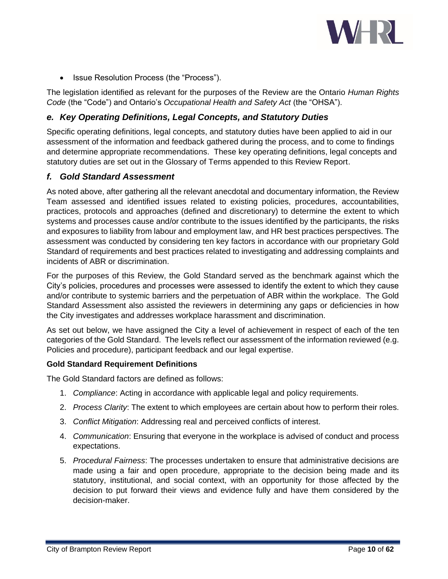

• Issue Resolution Process (the "Process").

The legislation identified as relevant for the purposes of the Review are the Ontario *Human Rights Code* (the "Code") and Ontario's *Occupational Health and Safety Act* (the "OHSA").

## <span id="page-12-0"></span>*e. Key Operating Definitions, Legal Concepts, and Statutory Duties*

Specific operating definitions, legal concepts, and statutory duties have been applied to aid in our assessment of the information and feedback gathered during the process, and to come to findings and determine appropriate recommendations. These key operating definitions, legal concepts and statutory duties are set out in the Glossary of Terms appended to this Review Report.

## <span id="page-12-1"></span>*f. Gold Standard Assessment*

As noted above, after gathering all the relevant anecdotal and documentary information, the Review Team assessed and identified issues related to existing policies, procedures, accountabilities, practices, protocols and approaches (defined and discretionary) to determine the extent to which systems and processes cause and/or contribute to the issues identified by the participants, the risks and exposures to liability from labour and employment law, and HR best practices perspectives. The assessment was conducted by considering ten key factors in accordance with our proprietary Gold Standard of requirements and best practices related to investigating and addressing complaints and incidents of ABR or discrimination.

For the purposes of this Review, the Gold Standard served as the benchmark against which the City's policies, procedures and processes were assessed to identify the extent to which they cause and/or contribute to systemic barriers and the perpetuation of ABR within the workplace. The Gold Standard Assessment also assisted the reviewers in determining any gaps or deficiencies in how the City investigates and addresses workplace harassment and discrimination.

As set out below, we have assigned the City a level of achievement in respect of each of the ten categories of the Gold Standard. The levels reflect our assessment of the information reviewed (e.g. Policies and procedure), participant feedback and our legal expertise.

#### **Gold Standard Requirement Definitions**

The Gold Standard factors are defined as follows:

- 1. *Compliance*: Acting in accordance with applicable legal and policy requirements.
- 2. *Process Clarity*: The extent to which employees are certain about how to perform their roles.
- 3. *Conflict Mitigation*: Addressing real and perceived conflicts of interest.
- 4. *Communication*: Ensuring that everyone in the workplace is advised of conduct and process expectations.
- 5. *Procedural Fairness*: The processes undertaken to ensure that administrative decisions are made using a fair and open procedure, appropriate to the decision being made and its statutory, institutional, and social context, with an opportunity for those affected by the decision to put forward their views and evidence fully and have them considered by the decision-maker.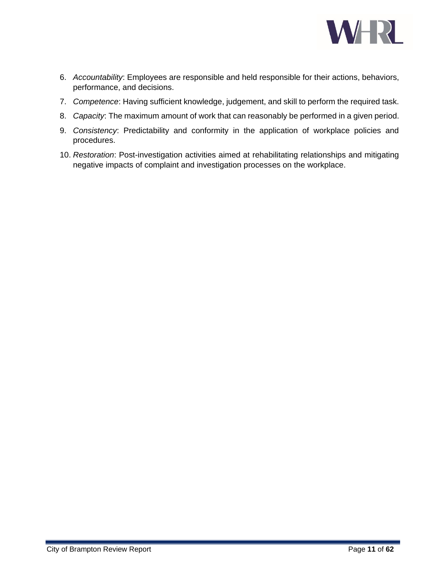

- 6. *Accountability*: Employees are responsible and held responsible for their actions, behaviors, performance, and decisions.
- 7. *Competence*: Having sufficient knowledge, judgement, and skill to perform the required task.
- 8. *Capacity*: The maximum amount of work that can reasonably be performed in a given period.
- 9. *Consistency*: Predictability and conformity in the application of workplace policies and procedures.
- 10. *Restoration*: Post-investigation activities aimed at rehabilitating relationships and mitigating negative impacts of complaint and investigation processes on the workplace.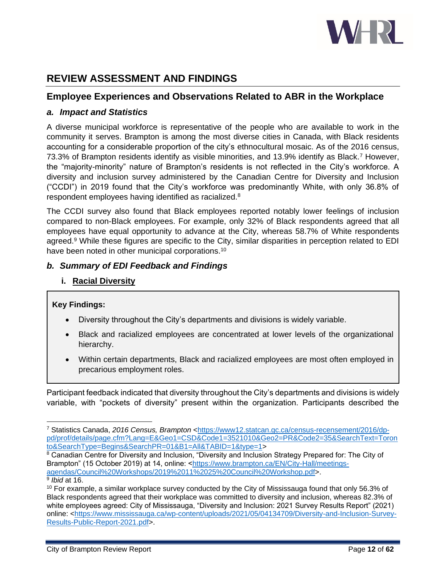

# <span id="page-14-0"></span>**REVIEW ASSESSMENT AND FINDINGS**

## <span id="page-14-1"></span>**Employee Experiences and Observations Related to ABR in the Workplace**

## <span id="page-14-2"></span>*a. Impact and Statistics*

A diverse municipal workforce is representative of the people who are available to work in the community it serves. Brampton is among the most diverse cities in Canada, with Black residents accounting for a considerable proportion of the city's ethnocultural mosaic. As of the 2016 census, 73.3% of Brampton residents identify as visible minorities, and 13.9% identify as Black.<sup>7</sup> However, the "majority-minority" nature of Brampton's residents is not reflected in the City's workforce. A diversity and inclusion survey administered by the Canadian Centre for Diversity and Inclusion ("CCDI") in 2019 found that the City's workforce was predominantly White, with only 36.8% of respondent employees having identified as racialized.<sup>8</sup>

The CCDI survey also found that Black employees reported notably lower feelings of inclusion compared to non-Black employees. For example, only 32% of Black respondents agreed that all employees have equal opportunity to advance at the City, whereas 58.7% of White respondents agreed.<sup>9</sup> While these figures are specific to the City, similar disparities in perception related to EDI have been noted in other municipal corporations.<sup>10</sup>

## <span id="page-14-4"></span><span id="page-14-3"></span>*b. Summary of EDI Feedback and Findings*

## **i. Racial Diversity**

## **Key Findings:**

- Diversity throughout the City's departments and divisions is widely variable.
- Black and racialized employees are concentrated at lower levels of the organizational hierarchy.
- Within certain departments, Black and racialized employees are most often employed in precarious employment roles.

Participant feedback indicated that diversity throughout the City's departments and divisions is widely variable, with "pockets of diversity" present within the organization. Participants described the

<sup>7</sup> Statistics Canada, *2016 Census, Brampton* [<https://www12.statcan.gc.ca/census-recensement/2016/dp](https://www12.statcan.gc.ca/census-recensement/2016/dp-pd/prof/details/page.cfm?Lang=E&Geo1=CSD&Code1=3521010&Geo2=PR&Code2=35&SearchText=Toronto&SearchType=Begins&SearchPR=01&B1=All&TABID=1&type=1)[pd/prof/details/page.cfm?Lang=E&Geo1=CSD&Code1=3521010&Geo2=PR&Code2=35&SearchText=Toron](https://www12.statcan.gc.ca/census-recensement/2016/dp-pd/prof/details/page.cfm?Lang=E&Geo1=CSD&Code1=3521010&Geo2=PR&Code2=35&SearchText=Toronto&SearchType=Begins&SearchPR=01&B1=All&TABID=1&type=1) [to&SearchType=Begins&SearchPR=01&B1=All&TABID=1&type=1>](https://www12.statcan.gc.ca/census-recensement/2016/dp-pd/prof/details/page.cfm?Lang=E&Geo1=CSD&Code1=3521010&Geo2=PR&Code2=35&SearchText=Toronto&SearchType=Begins&SearchPR=01&B1=All&TABID=1&type=1)

<sup>&</sup>lt;sup>8</sup> Canadian Centre for Diversity and Inclusion, "Diversity and Inclusion Strategy Prepared for: The City of Brampton" (15 October 2019) at 14, online: [<https://www.brampton.ca/EN/City-Hall/meetings](https://www.brampton.ca/EN/City-Hall/meetings-agendas/Council%20Workshops/2019%2011%2025%20Council%20Workshop.pdf)[agendas/Council%20Workshops/2019%2011%2025%20Council%20Workshop.pdf>](https://www.brampton.ca/EN/City-Hall/meetings-agendas/Council%20Workshops/2019%2011%2025%20Council%20Workshop.pdf).

<sup>9</sup> *Ibid* at 16.

 $10$  For example, a similar workplace survey conducted by the City of Mississauga found that only 56.3% of Black respondents agreed that their workplace was committed to diversity and inclusion, whereas 82.3% of white employees agreed: City of Mississauga, "Diversity and Inclusion: 2021 Survey Results Report" (2021) online: [<https://www.mississauga.ca/wp-content/uploads/2021/05/04134709/Diversity-and-Inclusion-Survey-](https://www.mississauga.ca/wp-content/uploads/2021/05/04134709/Diversity-and-Inclusion-Survey-Results-Public-Report-2021.pdf)[Results-Public-Report-2021.pdf>](https://www.mississauga.ca/wp-content/uploads/2021/05/04134709/Diversity-and-Inclusion-Survey-Results-Public-Report-2021.pdf).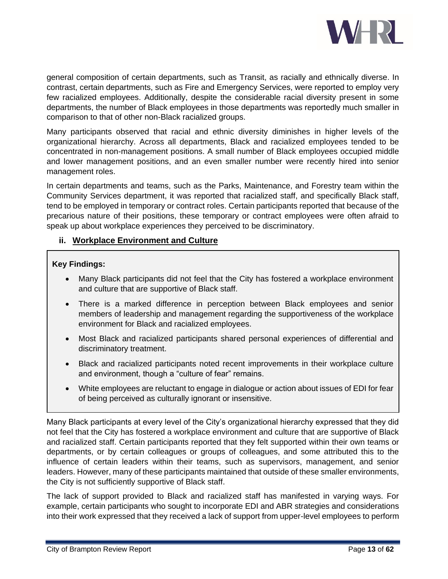

general composition of certain departments, such as Transit, as racially and ethnically diverse. In contrast, certain departments, such as Fire and Emergency Services, were reported to employ very few racialized employees. Additionally, despite the considerable racial diversity present in some departments, the number of Black employees in those departments was reportedly much smaller in comparison to that of other non-Black racialized groups.

Many participants observed that racial and ethnic diversity diminishes in higher levels of the organizational hierarchy. Across all departments, Black and racialized employees tended to be concentrated in non-management positions. A small number of Black employees occupied middle and lower management positions, and an even smaller number were recently hired into senior management roles.

In certain departments and teams, such as the Parks, Maintenance, and Forestry team within the Community Services department, it was reported that racialized staff, and specifically Black staff, tend to be employed in temporary or contract roles. Certain participants reported that because of the precarious nature of their positions, these temporary or contract employees were often afraid to speak up about workplace experiences they perceived to be discriminatory.

## <span id="page-15-0"></span>**ii. Workplace Environment and Culture**

## **Key Findings:**

- Many Black participants did not feel that the City has fostered a workplace environment and culture that are supportive of Black staff.
- There is a marked difference in perception between Black employees and senior members of leadership and management regarding the supportiveness of the workplace environment for Black and racialized employees.
- Most Black and racialized participants shared personal experiences of differential and discriminatory treatment.
- Black and racialized participants noted recent improvements in their workplace culture and environment, though a "culture of fear" remains.
- White employees are reluctant to engage in dialogue or action about issues of EDI for fear of being perceived as culturally ignorant or insensitive.

Many Black participants at every level of the City's organizational hierarchy expressed that they did not feel that the City has fostered a workplace environment and culture that are supportive of Black and racialized staff. Certain participants reported that they felt supported within their own teams or departments, or by certain colleagues or groups of colleagues, and some attributed this to the influence of certain leaders within their teams, such as supervisors, management, and senior leaders. However, many of these participants maintained that outside of these smaller environments, the City is not sufficiently supportive of Black staff.

The lack of support provided to Black and racialized staff has manifested in varying ways. For example, certain participants who sought to incorporate EDI and ABR strategies and considerations into their work expressed that they received a lack of support from upper-level employees to perform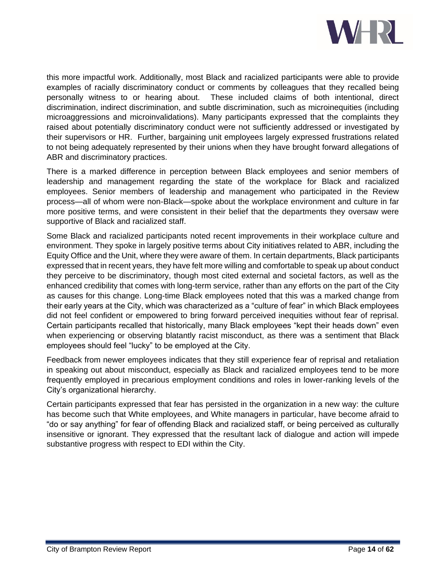

this more impactful work. Additionally, most Black and racialized participants were able to provide examples of racially discriminatory conduct or comments by colleagues that they recalled being personally witness to or hearing about. These included claims of both intentional, direct discrimination, indirect discrimination, and subtle discrimination, such as microinequities (including microaggressions and microinvalidations). Many participants expressed that the complaints they raised about potentially discriminatory conduct were not sufficiently addressed or investigated by their supervisors or HR. Further, bargaining unit employees largely expressed frustrations related to not being adequately represented by their unions when they have brought forward allegations of ABR and discriminatory practices.

There is a marked difference in perception between Black employees and senior members of leadership and management regarding the state of the workplace for Black and racialized employees. Senior members of leadership and management who participated in the Review process—all of whom were non-Black—spoke about the workplace environment and culture in far more positive terms, and were consistent in their belief that the departments they oversaw were supportive of Black and racialized staff.

Some Black and racialized participants noted recent improvements in their workplace culture and environment. They spoke in largely positive terms about City initiatives related to ABR, including the Equity Office and the Unit, where they were aware of them. In certain departments, Black participants expressed that in recent years, they have felt more willing and comfortable to speak up about conduct they perceive to be discriminatory, though most cited external and societal factors, as well as the enhanced credibility that comes with long-term service, rather than any efforts on the part of the City as causes for this change. Long-time Black employees noted that this was a marked change from their early years at the City, which was characterized as a "culture of fear" in which Black employees did not feel confident or empowered to bring forward perceived inequities without fear of reprisal. Certain participants recalled that historically, many Black employees "kept their heads down" even when experiencing or observing blatantly racist misconduct, as there was a sentiment that Black employees should feel "lucky" to be employed at the City.

Feedback from newer employees indicates that they still experience fear of reprisal and retaliation in speaking out about misconduct, especially as Black and racialized employees tend to be more frequently employed in precarious employment conditions and roles in lower-ranking levels of the City's organizational hierarchy.

Certain participants expressed that fear has persisted in the organization in a new way: the culture has become such that White employees, and White managers in particular, have become afraid to "do or say anything" for fear of offending Black and racialized staff, or being perceived as culturally insensitive or ignorant. They expressed that the resultant lack of dialogue and action will impede substantive progress with respect to EDI within the City.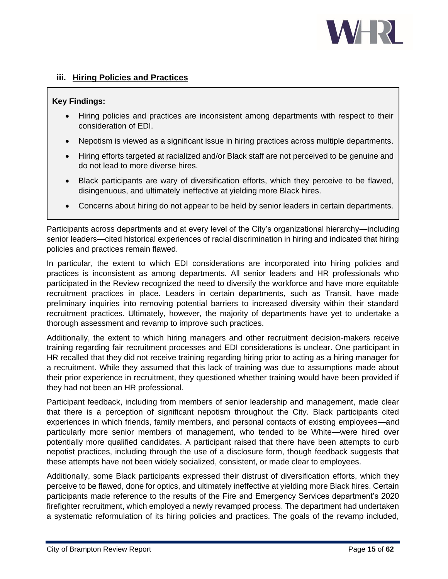

## <span id="page-17-0"></span>**iii. Hiring Policies and Practices**

#### **Key Findings:**

- Hiring policies and practices are inconsistent among departments with respect to their consideration of EDI.
- Nepotism is viewed as a significant issue in hiring practices across multiple departments.
- Hiring efforts targeted at racialized and/or Black staff are not perceived to be genuine and do not lead to more diverse hires.
- Black participants are wary of diversification efforts, which they perceive to be flawed, disingenuous, and ultimately ineffective at yielding more Black hires.
- Concerns about hiring do not appear to be held by senior leaders in certain departments.

Participants across departments and at every level of the City's organizational hierarchy—including senior leaders—cited historical experiences of racial discrimination in hiring and indicated that hiring policies and practices remain flawed.

In particular, the extent to which EDI considerations are incorporated into hiring policies and practices is inconsistent as among departments. All senior leaders and HR professionals who participated in the Review recognized the need to diversify the workforce and have more equitable recruitment practices in place. Leaders in certain departments, such as Transit, have made preliminary inquiries into removing potential barriers to increased diversity within their standard recruitment practices. Ultimately, however, the majority of departments have yet to undertake a thorough assessment and revamp to improve such practices.

Additionally, the extent to which hiring managers and other recruitment decision-makers receive training regarding fair recruitment processes and EDI considerations is unclear. One participant in HR recalled that they did not receive training regarding hiring prior to acting as a hiring manager for a recruitment. While they assumed that this lack of training was due to assumptions made about their prior experience in recruitment, they questioned whether training would have been provided if they had not been an HR professional.

Participant feedback, including from members of senior leadership and management, made clear that there is a perception of significant nepotism throughout the City. Black participants cited experiences in which friends, family members, and personal contacts of existing employees—and particularly more senior members of management, who tended to be White—were hired over potentially more qualified candidates. A participant raised that there have been attempts to curb nepotist practices, including through the use of a disclosure form, though feedback suggests that these attempts have not been widely socialized, consistent, or made clear to employees.

Additionally, some Black participants expressed their distrust of diversification efforts, which they perceive to be flawed, done for optics, and ultimately ineffective at yielding more Black hires. Certain participants made reference to the results of the Fire and Emergency Services department's 2020 firefighter recruitment, which employed a newly revamped process. The department had undertaken a systematic reformulation of its hiring policies and practices. The goals of the revamp included,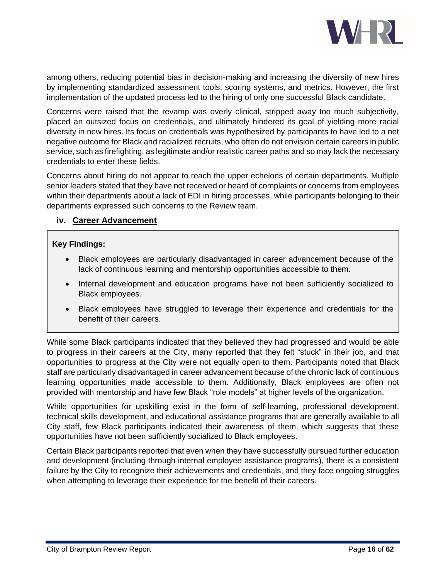

among others, reducing potential bias in decision-making and increasing the diversity of new hires by implementing standardized assessment tools, scoring systems, and metrics. However, the first implementation of the updated process led to the hiring of only one successful Black candidate.

Concerns were raised that the revamp was overly clinical, stripped away too much subjectivity, placed an outsized focus on credentials, and ultimately hindered its goal of yielding more racial diversity in new hires. Its focus on credentials was hypothesized by participants to have led to a net negative outcome for Black and racialized recruits, who often do not envision certain careers in public service, such as firefighting, as legitimate and/or realistic career paths and so may lack the necessary credentials to enter these fields.

Concerns about hiring do not appear to reach the upper echelons of certain departments. Multiple senior leaders stated that they have not received or heard of complaints or concerns from employees within their departments about a lack of EDI in hiring processes, while participants belonging to their departments expressed such concerns to the Review team.

## <span id="page-18-0"></span>**iv. Career Advancement**

#### **Key Findings:**

- Black employees are particularly disadvantaged in career advancement because of the lack of continuous learning and mentorship opportunities accessible to them.
- Internal development and education programs have not been sufficiently socialized to Black employees.
- Black employees have struggled to leverage their experience and credentials for the benefit of their careers.

While some Black participants indicated that they believed they had progressed and would be able to progress in their careers at the City, many reported that they felt "stuck" in their job, and that opportunities to progress at the City were not equally open to them. Participants noted that Black staff are particularly disadvantaged in career advancement because of the chronic lack of continuous learning opportunities made accessible to them. Additionally, Black employees are often not provided with mentorship and have few Black "role models" at higher levels of the organization.

While opportunities for upskilling exist in the form of self-learning, professional development, technical skills development, and educational assistance programs that are generally available to all City staff, few Black participants indicated their awareness of them, which suggests that these opportunities have not been sufficiently socialized to Black employees.

Certain Black participants reported that even when they have successfully pursued further education and development (including through internal employee assistance programs), there is a consistent failure by the City to recognize their achievements and credentials, and they face ongoing struggles when attempting to leverage their experience for the benefit of their careers.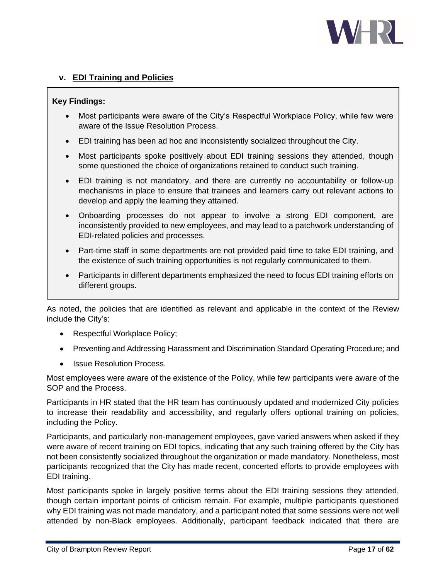

## <span id="page-19-0"></span>**v. EDI Training and Policies**

#### **Key Findings:**

- Most participants were aware of the City's Respectful Workplace Policy, while few were aware of the Issue Resolution Process.
- EDI training has been ad hoc and inconsistently socialized throughout the City.
- Most participants spoke positively about EDI training sessions they attended, though some questioned the choice of organizations retained to conduct such training.
- EDI training is not mandatory, and there are currently no accountability or follow-up mechanisms in place to ensure that trainees and learners carry out relevant actions to develop and apply the learning they attained.
- Onboarding processes do not appear to involve a strong EDI component, are inconsistently provided to new employees, and may lead to a patchwork understanding of EDI-related policies and processes.
- Part-time staff in some departments are not provided paid time to take EDI training, and the existence of such training opportunities is not regularly communicated to them.
- Participants in different departments emphasized the need to focus EDI training efforts on different groups.

As noted, the policies that are identified as relevant and applicable in the context of the Review include the City's:

- Respectful Workplace Policy;
- Preventing and Addressing Harassment and Discrimination Standard Operating Procedure; and
- Issue Resolution Process.

Most employees were aware of the existence of the Policy, while few participants were aware of the SOP and the Process.

Participants in HR stated that the HR team has continuously updated and modernized City policies to increase their readability and accessibility, and regularly offers optional training on policies, including the Policy.

Participants, and particularly non-management employees, gave varied answers when asked if they were aware of recent training on EDI topics, indicating that any such training offered by the City has not been consistently socialized throughout the organization or made mandatory. Nonetheless, most participants recognized that the City has made recent, concerted efforts to provide employees with EDI training.

Most participants spoke in largely positive terms about the EDI training sessions they attended, though certain important points of criticism remain. For example, multiple participants questioned why EDI training was not made mandatory, and a participant noted that some sessions were not well attended by non-Black employees. Additionally, participant feedback indicated that there are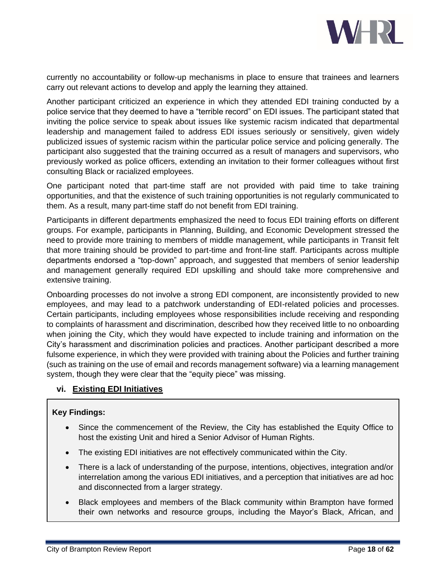

currently no accountability or follow-up mechanisms in place to ensure that trainees and learners carry out relevant actions to develop and apply the learning they attained.

Another participant criticized an experience in which they attended EDI training conducted by a police service that they deemed to have a "terrible record" on EDI issues. The participant stated that inviting the police service to speak about issues like systemic racism indicated that departmental leadership and management failed to address EDI issues seriously or sensitively, given widely publicized issues of systemic racism within the particular police service and policing generally. The participant also suggested that the training occurred as a result of managers and supervisors, who previously worked as police officers, extending an invitation to their former colleagues without first consulting Black or racialized employees.

One participant noted that part-time staff are not provided with paid time to take training opportunities, and that the existence of such training opportunities is not regularly communicated to them. As a result, many part-time staff do not benefit from EDI training.

Participants in different departments emphasized the need to focus EDI training efforts on different groups. For example, participants in Planning, Building, and Economic Development stressed the need to provide more training to members of middle management, while participants in Transit felt that more training should be provided to part-time and front-line staff. Participants across multiple departments endorsed a "top-down" approach, and suggested that members of senior leadership and management generally required EDI upskilling and should take more comprehensive and extensive training.

Onboarding processes do not involve a strong EDI component, are inconsistently provided to new employees, and may lead to a patchwork understanding of EDI-related policies and processes. Certain participants, including employees whose responsibilities include receiving and responding to complaints of harassment and discrimination, described how they received little to no onboarding when joining the City, which they would have expected to include training and information on the City's harassment and discrimination policies and practices. Another participant described a more fulsome experience, in which they were provided with training about the Policies and further training (such as training on the use of email and records management software) via a learning management system, though they were clear that the "equity piece" was missing.

## <span id="page-20-0"></span>**vi. Existing EDI Initiatives**

#### **Key Findings:**

- Since the commencement of the Review, the City has established the Equity Office to host the existing Unit and hired a Senior Advisor of Human Rights.
- The existing EDI initiatives are not effectively communicated within the City.
- There is a lack of understanding of the purpose, intentions, objectives, integration and/or interrelation among the various EDI initiatives, and a perception that initiatives are ad hoc and disconnected from a larger strategy.
- Black employees and members of the Black community within Brampton have formed their own networks and resource groups, including the Mayor's Black, African, and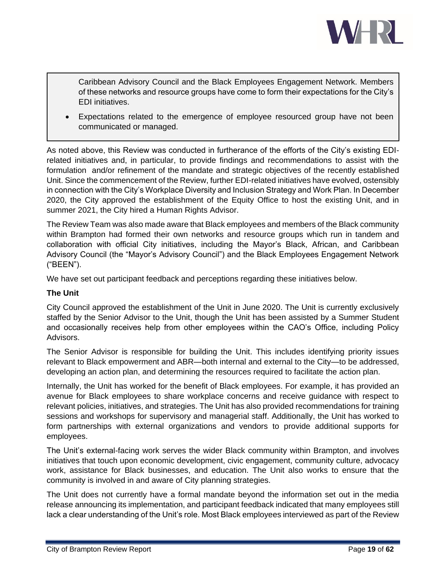

Caribbean Advisory Council and the Black Employees Engagement Network. Members of these networks and resource groups have come to form their expectations for the City's EDI initiatives.

• Expectations related to the emergence of employee resourced group have not been communicated or managed.

As noted above, this Review was conducted in furtherance of the efforts of the City's existing EDIrelated initiatives and, in particular, to provide findings and recommendations to assist with the formulation and/or refinement of the mandate and strategic objectives of the recently established Unit. Since the commencement of the Review, further EDI-related initiatives have evolved, ostensibly in connection with the City's Workplace Diversity and Inclusion Strategy and Work Plan. In December 2020, the City approved the establishment of the Equity Office to host the existing Unit, and in summer 2021, the City hired a Human Rights Advisor.

The Review Team was also made aware that Black employees and members of the Black community within Brampton had formed their own networks and resource groups which run in tandem and collaboration with official City initiatives, including the Mayor's Black, African, and Caribbean Advisory Council (the "Mayor's Advisory Council") and the Black Employees Engagement Network ("BEEN").

We have set out participant feedback and perceptions regarding these initiatives below.

## **The Unit**

City Council approved the establishment of the Unit in June 2020. The Unit is currently exclusively staffed by the Senior Advisor to the Unit, though the Unit has been assisted by a Summer Student and occasionally receives help from other employees within the CAO's Office, including Policy Advisors.

The Senior Advisor is responsible for building the Unit. This includes identifying priority issues relevant to Black empowerment and ABR—both internal and external to the City—to be addressed, developing an action plan, and determining the resources required to facilitate the action plan.

Internally, the Unit has worked for the benefit of Black employees. For example, it has provided an avenue for Black employees to share workplace concerns and receive guidance with respect to relevant policies, initiatives, and strategies. The Unit has also provided recommendations for training sessions and workshops for supervisory and managerial staff. Additionally, the Unit has worked to form partnerships with external organizations and vendors to provide additional supports for employees.

The Unit's external-facing work serves the wider Black community within Brampton, and involves initiatives that touch upon economic development, civic engagement, community culture, advocacy work, assistance for Black businesses, and education. The Unit also works to ensure that the community is involved in and aware of City planning strategies.

The Unit does not currently have a formal mandate beyond the information set out in the media release announcing its implementation, and participant feedback indicated that many employees still lack a clear understanding of the Unit's role. Most Black employees interviewed as part of the Review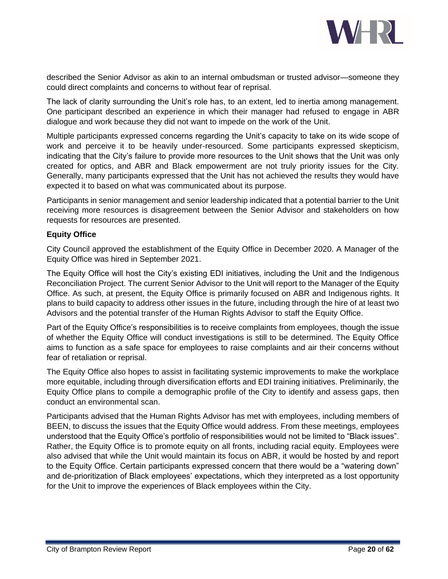

described the Senior Advisor as akin to an internal ombudsman or trusted advisor—someone they could direct complaints and concerns to without fear of reprisal.

The lack of clarity surrounding the Unit's role has, to an extent, led to inertia among management. One participant described an experience in which their manager had refused to engage in ABR dialogue and work because they did not want to impede on the work of the Unit.

Multiple participants expressed concerns regarding the Unit's capacity to take on its wide scope of work and perceive it to be heavily under-resourced. Some participants expressed skepticism, indicating that the City's failure to provide more resources to the Unit shows that the Unit was only created for optics, and ABR and Black empowerment are not truly priority issues for the City. Generally, many participants expressed that the Unit has not achieved the results they would have expected it to based on what was communicated about its purpose.

Participants in senior management and senior leadership indicated that a potential barrier to the Unit receiving more resources is disagreement between the Senior Advisor and stakeholders on how requests for resources are presented.

#### **Equity Office**

City Council approved the establishment of the Equity Office in December 2020. A Manager of the Equity Office was hired in September 2021.

The Equity Office will host the City's existing EDI initiatives, including the Unit and the Indigenous Reconciliation Project. The current Senior Advisor to the Unit will report to the Manager of the Equity Office. As such, at present, the Equity Office is primarily focused on ABR and Indigenous rights. It plans to build capacity to address other issues in the future, including through the hire of at least two Advisors and the potential transfer of the Human Rights Advisor to staff the Equity Office.

Part of the Equity Office's responsibilities is to receive complaints from employees, though the issue of whether the Equity Office will conduct investigations is still to be determined. The Equity Office aims to function as a safe space for employees to raise complaints and air their concerns without fear of retaliation or reprisal.

The Equity Office also hopes to assist in facilitating systemic improvements to make the workplace more equitable, including through diversification efforts and EDI training initiatives. Preliminarily, the Equity Office plans to compile a demographic profile of the City to identify and assess gaps, then conduct an environmental scan.

Participants advised that the Human Rights Advisor has met with employees, including members of BEEN, to discuss the issues that the Equity Office would address. From these meetings, employees understood that the Equity Office's portfolio of responsibilities would not be limited to "Black issues". Rather, the Equity Office is to promote equity on all fronts, including racial equity. Employees were also advised that while the Unit would maintain its focus on ABR, it would be hosted by and report to the Equity Office. Certain participants expressed concern that there would be a "watering down" and de-prioritization of Black employees' expectations, which they interpreted as a lost opportunity for the Unit to improve the experiences of Black employees within the City.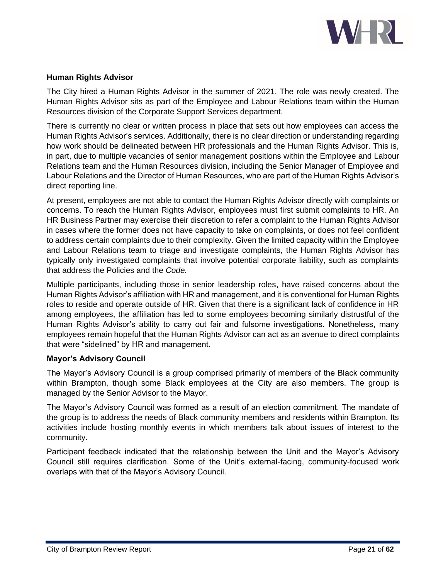

#### **Human Rights Advisor**

The City hired a Human Rights Advisor in the summer of 2021. The role was newly created. The Human Rights Advisor sits as part of the Employee and Labour Relations team within the Human Resources division of the Corporate Support Services department.

There is currently no clear or written process in place that sets out how employees can access the Human Rights Advisor's services. Additionally, there is no clear direction or understanding regarding how work should be delineated between HR professionals and the Human Rights Advisor. This is, in part, due to multiple vacancies of senior management positions within the Employee and Labour Relations team and the Human Resources division, including the Senior Manager of Employee and Labour Relations and the Director of Human Resources, who are part of the Human Rights Advisor's direct reporting line.

At present, employees are not able to contact the Human Rights Advisor directly with complaints or concerns. To reach the Human Rights Advisor, employees must first submit complaints to HR. An HR Business Partner may exercise their discretion to refer a complaint to the Human Rights Advisor in cases where the former does not have capacity to take on complaints, or does not feel confident to address certain complaints due to their complexity. Given the limited capacity within the Employee and Labour Relations team to triage and investigate complaints, the Human Rights Advisor has typically only investigated complaints that involve potential corporate liability, such as complaints that address the Policies and the *Code.*

Multiple participants, including those in senior leadership roles, have raised concerns about the Human Rights Advisor's affiliation with HR and management, and it is conventional for Human Rights roles to reside and operate outside of HR. Given that there is a significant lack of confidence in HR among employees, the affiliation has led to some employees becoming similarly distrustful of the Human Rights Advisor's ability to carry out fair and fulsome investigations. Nonetheless, many employees remain hopeful that the Human Rights Advisor can act as an avenue to direct complaints that were "sidelined" by HR and management.

#### **Mayor's Advisory Council**

The Mayor's Advisory Council is a group comprised primarily of members of the Black community within Brampton, though some Black employees at the City are also members. The group is managed by the Senior Advisor to the Mayor.

The Mayor's Advisory Council was formed as a result of an election commitment. The mandate of the group is to address the needs of Black community members and residents within Brampton. Its activities include hosting monthly events in which members talk about issues of interest to the community.

Participant feedback indicated that the relationship between the Unit and the Mayor's Advisory Council still requires clarification. Some of the Unit's external-facing, community-focused work overlaps with that of the Mayor's Advisory Council.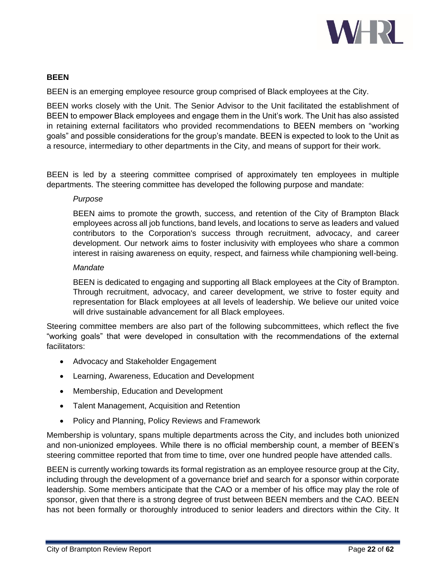

#### **BEEN**

BEEN is an emerging employee resource group comprised of Black employees at the City.

BEEN works closely with the Unit. The Senior Advisor to the Unit facilitated the establishment of BEEN to empower Black employees and engage them in the Unit's work. The Unit has also assisted in retaining external facilitators who provided recommendations to BEEN members on "working goals" and possible considerations for the group's mandate. BEEN is expected to look to the Unit as a resource, intermediary to other departments in the City, and means of support for their work.

BEEN is led by a steering committee comprised of approximately ten employees in multiple departments. The steering committee has developed the following purpose and mandate:

#### *Purpose*

BEEN aims to promote the growth, success, and retention of the City of Brampton Black employees across all job functions, band levels, and locations to serve as leaders and valued contributors to the Corporation's success through recruitment, advocacy, and career development. Our network aims to foster inclusivity with employees who share a common interest in raising awareness on equity, respect, and fairness while championing well-being.

## *Mandate*

BEEN is dedicated to engaging and supporting all Black employees at the City of Brampton. Through recruitment, advocacy, and career development, we strive to foster equity and representation for Black employees at all levels of leadership. We believe our united voice will drive sustainable advancement for all Black employees.

Steering committee members are also part of the following subcommittees, which reflect the five "working goals" that were developed in consultation with the recommendations of the external facilitators:

- Advocacy and Stakeholder Engagement
- Learning, Awareness, Education and Development
- Membership, Education and Development
- Talent Management, Acquisition and Retention
- Policy and Planning, Policy Reviews and Framework

Membership is voluntary, spans multiple departments across the City, and includes both unionized and non-unionized employees. While there is no official membership count, a member of BEEN's steering committee reported that from time to time, over one hundred people have attended calls.

BEEN is currently working towards its formal registration as an employee resource group at the City, including through the development of a governance brief and search for a sponsor within corporate leadership. Some members anticipate that the CAO or a member of his office may play the role of sponsor, given that there is a strong degree of trust between BEEN members and the CAO. BEEN has not been formally or thoroughly introduced to senior leaders and directors within the City. It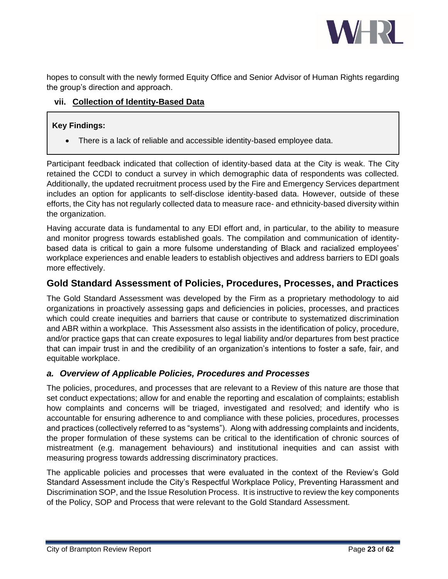

hopes to consult with the newly formed Equity Office and Senior Advisor of Human Rights regarding the group's direction and approach.

## <span id="page-25-0"></span>**vii. Collection of Identity-Based Data**

## **Key Findings:**

• There is a lack of reliable and accessible identity-based employee data.

Participant feedback indicated that collection of identity-based data at the City is weak. The City retained the CCDI to conduct a survey in which demographic data of respondents was collected. Additionally, the updated recruitment process used by the Fire and Emergency Services department includes an option for applicants to self-disclose identity-based data. However, outside of these efforts, the City has not regularly collected data to measure race- and ethnicity-based diversity within the organization.

Having accurate data is fundamental to any EDI effort and, in particular, to the ability to measure and monitor progress towards established goals. The compilation and communication of identitybased data is critical to gain a more fulsome understanding of Black and racialized employees' workplace experiences and enable leaders to establish objectives and address barriers to EDI goals more effectively.

## <span id="page-25-1"></span>**Gold Standard Assessment of Policies, Procedures, Processes, and Practices**

The Gold Standard Assessment was developed by the Firm as a proprietary methodology to aid organizations in proactively assessing gaps and deficiencies in policies, processes, and practices which could create inequities and barriers that cause or contribute to systematized discrimination and ABR within a workplace. This Assessment also assists in the identification of policy, procedure, and/or practice gaps that can create exposures to legal liability and/or departures from best practice that can impair trust in and the credibility of an organization's intentions to foster a safe, fair, and equitable workplace.

## <span id="page-25-2"></span>*a. Overview of Applicable Policies, Procedures and Processes*

The policies, procedures, and processes that are relevant to a Review of this nature are those that set conduct expectations; allow for and enable the reporting and escalation of complaints; establish how complaints and concerns will be triaged, investigated and resolved; and identify who is accountable for ensuring adherence to and compliance with these policies, procedures, processes and practices (collectively referred to as "systems"). Along with addressing complaints and incidents, the proper formulation of these systems can be critical to the identification of chronic sources of mistreatment (e.g. management behaviours) and institutional inequities and can assist with measuring progress towards addressing discriminatory practices.

The applicable policies and processes that were evaluated in the context of the Review's Gold Standard Assessment include the City's Respectful Workplace Policy, Preventing Harassment and Discrimination SOP, and the Issue Resolution Process. It is instructive to review the key components of the Policy, SOP and Process that were relevant to the Gold Standard Assessment.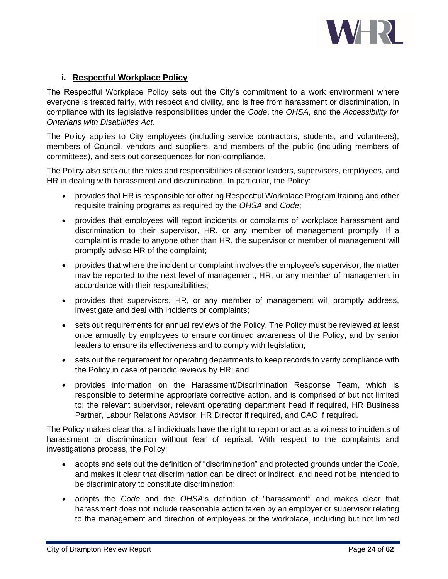

## **i. Respectful Workplace Policy**

<span id="page-26-0"></span>The Respectful Workplace Policy sets out the City's commitment to a work environment where everyone is treated fairly, with respect and civility, and is free from harassment or discrimination, in compliance with its legislative responsibilities under the *Code*, the *OHSA*, and the *Accessibility for Ontarians with Disabilities Act*.

The Policy applies to City employees (including service contractors, students, and volunteers), members of Council, vendors and suppliers, and members of the public (including members of committees), and sets out consequences for non-compliance.

The Policy also sets out the roles and responsibilities of senior leaders, supervisors, employees, and HR in dealing with harassment and discrimination. In particular, the Policy:

- provides that HR is responsible for offering Respectful Workplace Program training and other requisite training programs as required by the *OHSA* and *Code*;
- provides that employees will report incidents or complaints of workplace harassment and discrimination to their supervisor, HR, or any member of management promptly. If a complaint is made to anyone other than HR, the supervisor or member of management will promptly advise HR of the complaint;
- provides that where the incident or complaint involves the employee's supervisor, the matter may be reported to the next level of management, HR, or any member of management in accordance with their responsibilities;
- provides that supervisors, HR, or any member of management will promptly address, investigate and deal with incidents or complaints;
- sets out requirements for annual reviews of the Policy. The Policy must be reviewed at least once annually by employees to ensure continued awareness of the Policy, and by senior leaders to ensure its effectiveness and to comply with legislation;
- sets out the requirement for operating departments to keep records to verify compliance with the Policy in case of periodic reviews by HR; and
- provides information on the Harassment/Discrimination Response Team, which is responsible to determine appropriate corrective action, and is comprised of but not limited to: the relevant supervisor, relevant operating department head if required, HR Business Partner, Labour Relations Advisor, HR Director if required, and CAO if required.

The Policy makes clear that all individuals have the right to report or act as a witness to incidents of harassment or discrimination without fear of reprisal. With respect to the complaints and investigations process, the Policy:

- adopts and sets out the definition of "discrimination" and protected grounds under the *Code*, and makes it clear that discrimination can be direct or indirect, and need not be intended to be discriminatory to constitute discrimination;
- adopts the *Code* and the *OHSA*'s definition of "harassment" and makes clear that harassment does not include reasonable action taken by an employer or supervisor relating to the management and direction of employees or the workplace, including but not limited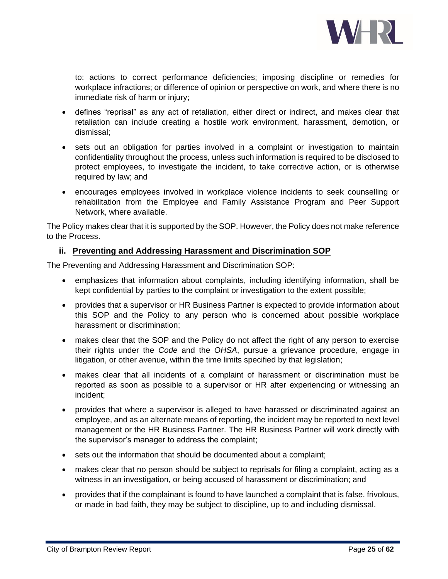

to: actions to correct performance deficiencies; imposing discipline or remedies for workplace infractions; or difference of opinion or perspective on work, and where there is no immediate risk of harm or injury;

- defines "reprisal" as any act of retaliation, either direct or indirect, and makes clear that retaliation can include creating a hostile work environment, harassment, demotion, or dismissal;
- sets out an obligation for parties involved in a complaint or investigation to maintain confidentiality throughout the process, unless such information is required to be disclosed to protect employees, to investigate the incident, to take corrective action, or is otherwise required by law; and
- encourages employees involved in workplace violence incidents to seek counselling or rehabilitation from the Employee and Family Assistance Program and Peer Support Network, where available.

The Policy makes clear that it is supported by the SOP. However, the Policy does not make reference to the Process.

## <span id="page-27-0"></span>**ii. Preventing and Addressing Harassment and Discrimination SOP**

The Preventing and Addressing Harassment and Discrimination SOP:

- emphasizes that information about complaints, including identifying information, shall be kept confidential by parties to the complaint or investigation to the extent possible;
- provides that a supervisor or HR Business Partner is expected to provide information about this SOP and the Policy to any person who is concerned about possible workplace harassment or discrimination;
- makes clear that the SOP and the Policy do not affect the right of any person to exercise their rights under the *Code* and the *OHSA*, pursue a grievance procedure, engage in litigation, or other avenue, within the time limits specified by that legislation;
- makes clear that all incidents of a complaint of harassment or discrimination must be reported as soon as possible to a supervisor or HR after experiencing or witnessing an incident;
- provides that where a supervisor is alleged to have harassed or discriminated against an employee, and as an alternate means of reporting, the incident may be reported to next level management or the HR Business Partner. The HR Business Partner will work directly with the supervisor's manager to address the complaint;
- sets out the information that should be documented about a complaint;
- makes clear that no person should be subject to reprisals for filing a complaint, acting as a witness in an investigation, or being accused of harassment or discrimination; and
- provides that if the complainant is found to have launched a complaint that is false, frivolous, or made in bad faith, they may be subject to discipline, up to and including dismissal.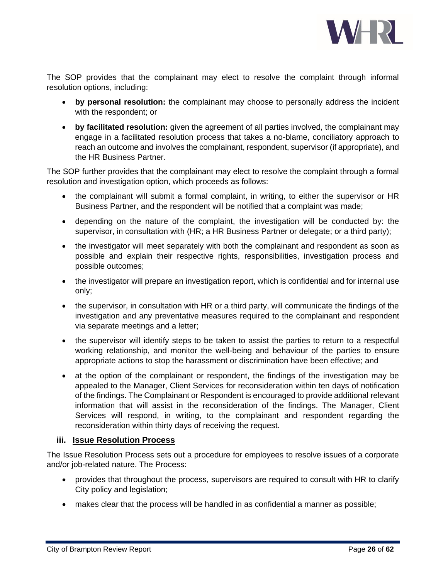

The SOP provides that the complainant may elect to resolve the complaint through informal resolution options, including:

- **by personal resolution:** the complainant may choose to personally address the incident with the respondent; or
- **by facilitated resolution:** given the agreement of all parties involved, the complainant may engage in a facilitated resolution process that takes a no-blame, conciliatory approach to reach an outcome and involves the complainant, respondent, supervisor (if appropriate), and the HR Business Partner.

The SOP further provides that the complainant may elect to resolve the complaint through a formal resolution and investigation option, which proceeds as follows:

- the complainant will submit a formal complaint, in writing, to either the supervisor or HR Business Partner, and the respondent will be notified that a complaint was made;
- depending on the nature of the complaint, the investigation will be conducted by: the supervisor, in consultation with (HR; a HR Business Partner or delegate; or a third party);
- the investigator will meet separately with both the complainant and respondent as soon as possible and explain their respective rights, responsibilities, investigation process and possible outcomes;
- the investigator will prepare an investigation report, which is confidential and for internal use only;
- the supervisor, in consultation with HR or a third party, will communicate the findings of the investigation and any preventative measures required to the complainant and respondent via separate meetings and a letter;
- the supervisor will identify steps to be taken to assist the parties to return to a respectful working relationship, and monitor the well-being and behaviour of the parties to ensure appropriate actions to stop the harassment or discrimination have been effective; and
- at the option of the complainant or respondent, the findings of the investigation may be appealed to the Manager, Client Services for reconsideration within ten days of notification of the findings. The Complainant or Respondent is encouraged to provide additional relevant information that will assist in the reconsideration of the findings. The Manager, Client Services will respond, in writing, to the complainant and respondent regarding the reconsideration within thirty days of receiving the request.

## <span id="page-28-0"></span>**iii. Issue Resolution Process**

The Issue Resolution Process sets out a procedure for employees to resolve issues of a corporate and/or job-related nature. The Process:

- provides that throughout the process, supervisors are required to consult with HR to clarify City policy and legislation;
- makes clear that the process will be handled in as confidential a manner as possible;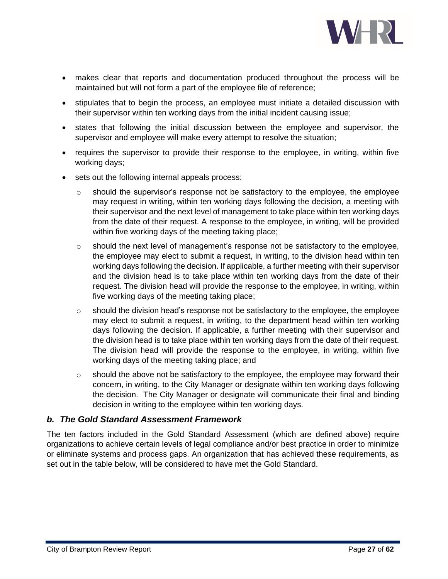

- makes clear that reports and documentation produced throughout the process will be maintained but will not form a part of the employee file of reference;
- stipulates that to begin the process, an employee must initiate a detailed discussion with their supervisor within ten working days from the initial incident causing issue;
- states that following the initial discussion between the employee and supervisor, the supervisor and employee will make every attempt to resolve the situation;
- requires the supervisor to provide their response to the employee, in writing, within five working days;
- sets out the following internal appeals process:
	- $\circ$  should the supervisor's response not be satisfactory to the employee, the employee may request in writing, within ten working days following the decision, a meeting with their supervisor and the next level of management to take place within ten working days from the date of their request. A response to the employee, in writing, will be provided within five working days of the meeting taking place;
	- $\circ$  should the next level of management's response not be satisfactory to the employee, the employee may elect to submit a request, in writing, to the division head within ten working days following the decision. If applicable, a further meeting with their supervisor and the division head is to take place within ten working days from the date of their request. The division head will provide the response to the employee, in writing, within five working days of the meeting taking place;
	- $\circ$  should the division head's response not be satisfactory to the employee, the employee may elect to submit a request, in writing, to the department head within ten working days following the decision. If applicable, a further meeting with their supervisor and the division head is to take place within ten working days from the date of their request. The division head will provide the response to the employee, in writing, within five working days of the meeting taking place; and
	- $\circ$  should the above not be satisfactory to the employee, the employee may forward their concern, in writing, to the City Manager or designate within ten working days following the decision. The City Manager or designate will communicate their final and binding decision in writing to the employee within ten working days.

## <span id="page-29-0"></span>*b. The Gold Standard Assessment Framework*

The ten factors included in the Gold Standard Assessment (which are defined above) require organizations to achieve certain levels of legal compliance and/or best practice in order to minimize or eliminate systems and process gaps. An organization that has achieved these requirements, as set out in the table below, will be considered to have met the Gold Standard.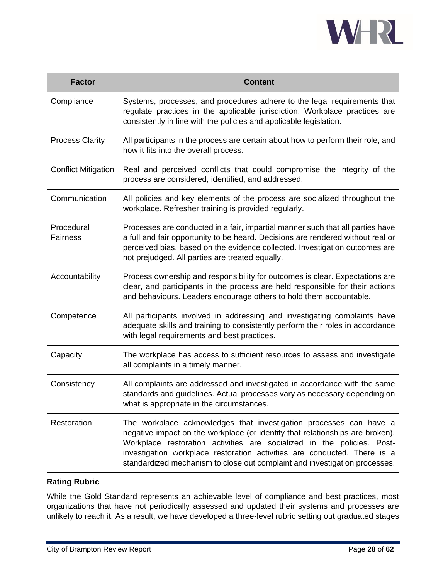

| <b>Factor</b>                 | <b>Content</b>                                                                                                                                                                                                                                                                                                                                                                          |
|-------------------------------|-----------------------------------------------------------------------------------------------------------------------------------------------------------------------------------------------------------------------------------------------------------------------------------------------------------------------------------------------------------------------------------------|
| Compliance                    | Systems, processes, and procedures adhere to the legal requirements that<br>regulate practices in the applicable jurisdiction. Workplace practices are<br>consistently in line with the policies and applicable legislation.                                                                                                                                                            |
| <b>Process Clarity</b>        | All participants in the process are certain about how to perform their role, and<br>how it fits into the overall process.                                                                                                                                                                                                                                                               |
| <b>Conflict Mitigation</b>    | Real and perceived conflicts that could compromise the integrity of the<br>process are considered, identified, and addressed.                                                                                                                                                                                                                                                           |
| Communication                 | All policies and key elements of the process are socialized throughout the<br>workplace. Refresher training is provided regularly.                                                                                                                                                                                                                                                      |
| Procedural<br><b>Fairness</b> | Processes are conducted in a fair, impartial manner such that all parties have<br>a full and fair opportunity to be heard. Decisions are rendered without real or<br>perceived bias, based on the evidence collected. Investigation outcomes are<br>not prejudged. All parties are treated equally.                                                                                     |
| Accountability                | Process ownership and responsibility for outcomes is clear. Expectations are<br>clear, and participants in the process are held responsible for their actions<br>and behaviours. Leaders encourage others to hold them accountable.                                                                                                                                                     |
| Competence                    | All participants involved in addressing and investigating complaints have<br>adequate skills and training to consistently perform their roles in accordance<br>with legal requirements and best practices.                                                                                                                                                                              |
| Capacity                      | The workplace has access to sufficient resources to assess and investigate<br>all complaints in a timely manner.                                                                                                                                                                                                                                                                        |
| Consistency                   | All complaints are addressed and investigated in accordance with the same<br>standards and guidelines. Actual processes vary as necessary depending on<br>what is appropriate in the circumstances.                                                                                                                                                                                     |
| Restoration                   | The workplace acknowledges that investigation processes can have a<br>negative impact on the workplace (or identify that relationships are broken).<br>Workplace restoration activities are socialized in the policies. Post-<br>investigation workplace restoration activities are conducted. There is a<br>standardized mechanism to close out complaint and investigation processes. |

## **Rating Rubric**

While the Gold Standard represents an achievable level of compliance and best practices, most organizations that have not periodically assessed and updated their systems and processes are unlikely to reach it. As a result, we have developed a three-level rubric setting out graduated stages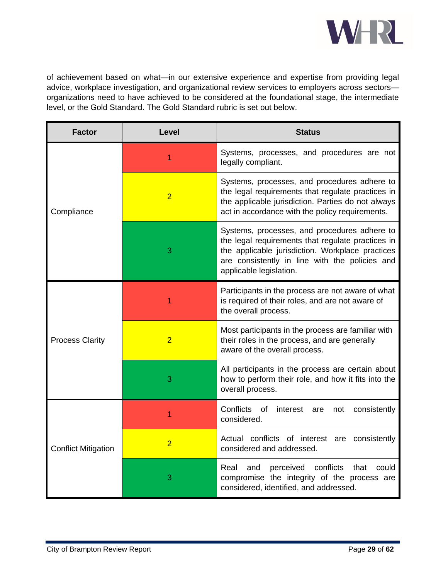

of achievement based on what—in our extensive experience and expertise from providing legal advice, workplace investigation, and organizational review services to employers across sectors organizations need to have achieved to be considered at the foundational stage, the intermediate level, or the Gold Standard. The Gold Standard rubric is set out below.

| <b>Factor</b>              | <b>Level</b>   | <b>Status</b>                                                                                                                                                                                                                      |
|----------------------------|----------------|------------------------------------------------------------------------------------------------------------------------------------------------------------------------------------------------------------------------------------|
|                            | 1              | Systems, processes, and procedures are not<br>legally compliant.                                                                                                                                                                   |
| Compliance                 | $\overline{2}$ | Systems, processes, and procedures adhere to<br>the legal requirements that regulate practices in<br>the applicable jurisdiction. Parties do not always<br>act in accordance with the policy requirements.                         |
|                            | 3              | Systems, processes, and procedures adhere to<br>the legal requirements that regulate practices in<br>the applicable jurisdiction. Workplace practices<br>are consistently in line with the policies and<br>applicable legislation. |
|                            | 1              | Participants in the process are not aware of what<br>is required of their roles, and are not aware of<br>the overall process.                                                                                                      |
| <b>Process Clarity</b>     | $\overline{2}$ | Most participants in the process are familiar with<br>their roles in the process, and are generally<br>aware of the overall process.                                                                                               |
|                            | 3              | All participants in the process are certain about<br>how to perform their role, and how it fits into the<br>overall process.                                                                                                       |
|                            | 1              | <b>Conflicts</b><br>0f<br>interest<br>consistently<br>are<br>not<br>considered.                                                                                                                                                    |
| <b>Conflict Mitigation</b> | $\overline{2}$ | Actual conflicts of interest are consistently<br>considered and addressed.                                                                                                                                                         |
|                            | 3              | conflicts<br>Real<br>and<br>perceived<br>that<br>could<br>compromise the integrity of the process are<br>considered, identified, and addressed.                                                                                    |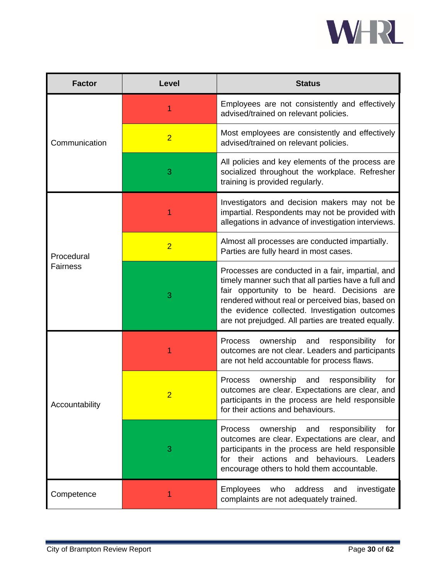

| <b>Factor</b>   | Level          | <b>Status</b>                                                                                                                                                                                                                                                                                                         |
|-----------------|----------------|-----------------------------------------------------------------------------------------------------------------------------------------------------------------------------------------------------------------------------------------------------------------------------------------------------------------------|
|                 | 1              | Employees are not consistently and effectively<br>advised/trained on relevant policies.                                                                                                                                                                                                                               |
| Communication   | $\overline{2}$ | Most employees are consistently and effectively<br>advised/trained on relevant policies.                                                                                                                                                                                                                              |
|                 | 3              | All policies and key elements of the process are<br>socialized throughout the workplace. Refresher<br>training is provided regularly.                                                                                                                                                                                 |
|                 |                | Investigators and decision makers may not be<br>impartial. Respondents may not be provided with<br>allegations in advance of investigation interviews.                                                                                                                                                                |
| Procedural      | $\overline{2}$ | Almost all processes are conducted impartially.<br>Parties are fully heard in most cases.                                                                                                                                                                                                                             |
| <b>Fairness</b> | 3              | Processes are conducted in a fair, impartial, and<br>timely manner such that all parties have a full and<br>fair opportunity to be heard. Decisions are<br>rendered without real or perceived bias, based on<br>the evidence collected. Investigation outcomes<br>are not prejudged. All parties are treated equally. |
|                 |                | ownership and<br><b>Process</b><br>responsibility<br>for<br>outcomes are not clear. Leaders and participants<br>are not held accountable for process flaws.                                                                                                                                                           |
| Accountability  | $\overline{2}$ | ownership<br>and<br><b>Process</b><br>responsibility<br>for<br>outcomes are clear. Expectations are clear, and<br>participants in the process are held responsible<br>for their actions and behaviours.                                                                                                               |
|                 | 3              | responsibility<br><b>Process</b><br>ownership<br>and<br>for<br>outcomes are clear. Expectations are clear, and<br>participants in the process are held responsible<br>for their actions and behaviours. Leaders<br>encourage others to hold them accountable.                                                         |
| Competence      |                | <b>Employees</b><br>who<br>address<br>and<br>investigate<br>complaints are not adequately trained.                                                                                                                                                                                                                    |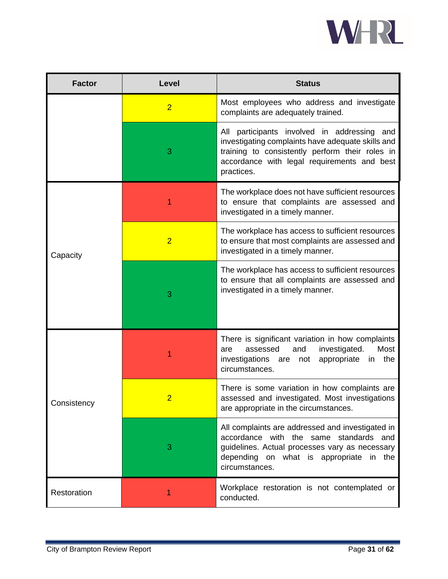

| <b>Factor</b> | Level          | <b>Status</b>                                                                                                                                                                                                    |
|---------------|----------------|------------------------------------------------------------------------------------------------------------------------------------------------------------------------------------------------------------------|
|               | $\overline{2}$ | Most employees who address and investigate<br>complaints are adequately trained.                                                                                                                                 |
|               | 3              | All participants involved in addressing and<br>investigating complaints have adequate skills and<br>training to consistently perform their roles in<br>accordance with legal requirements and best<br>practices. |
|               | 1              | The workplace does not have sufficient resources<br>to ensure that complaints are assessed and<br>investigated in a timely manner.                                                                               |
| Capacity      | $\overline{2}$ | The workplace has access to sufficient resources<br>to ensure that most complaints are assessed and<br>investigated in a timely manner.                                                                          |
|               | 3              | The workplace has access to sufficient resources<br>to ensure that all complaints are assessed and<br>investigated in a timely manner.                                                                           |
|               | 1              | There is significant variation in how complaints<br>assessed<br>and<br>investigated.<br>Most<br>are<br>investigations are not<br>appropriate in<br>the<br>circumstances.                                         |
| Consistency   | 2              | There is some variation in how complaints are<br>assessed and investigated. Most investigations<br>are appropriate in the circumstances.                                                                         |
|               | 3              | All complaints are addressed and investigated in<br>accordance with the same standards and<br>guidelines. Actual processes vary as necessary<br>depending on what is appropriate<br>in the<br>circumstances.     |
| Restoration   |                | Workplace restoration is not contemplated or<br>conducted.                                                                                                                                                       |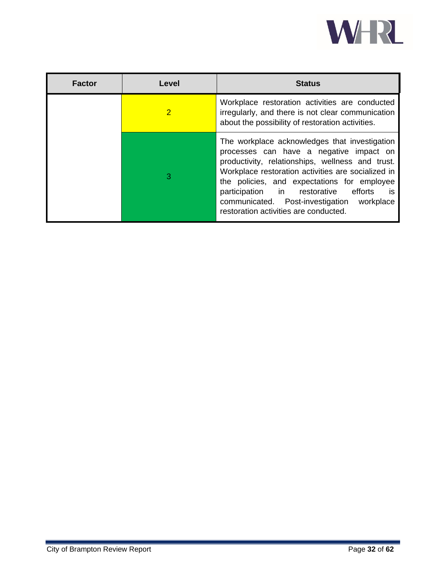

| <b>Factor</b> | Level          | <b>Status</b>                                                                                                                                                                                                                                                                                                                                                                                    |
|---------------|----------------|--------------------------------------------------------------------------------------------------------------------------------------------------------------------------------------------------------------------------------------------------------------------------------------------------------------------------------------------------------------------------------------------------|
|               | $\overline{2}$ | Workplace restoration activities are conducted<br>irregularly, and there is not clear communication<br>about the possibility of restoration activities.                                                                                                                                                                                                                                          |
|               | 3              | The workplace acknowledges that investigation<br>processes can have a negative impact on<br>productivity, relationships, wellness and trust.<br>Workplace restoration activities are socialized in<br>the policies, and expectations for employee<br>participation in restorative<br>efforts<br><b>is</b><br>communicated. Post-investigation workplace<br>restoration activities are conducted. |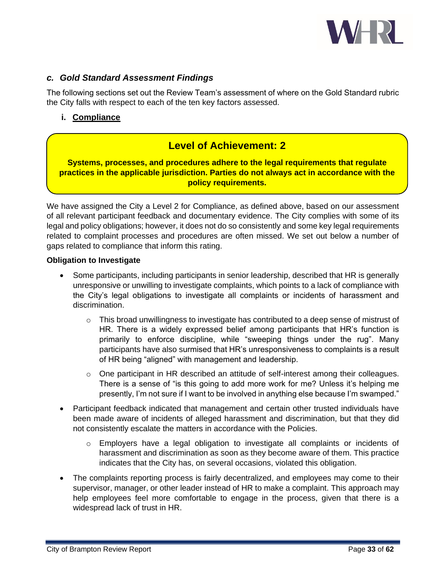

## <span id="page-35-0"></span>*c. Gold Standard Assessment Findings*

The following sections set out the Review Team's assessment of where on the Gold Standard rubric the City falls with respect to each of the ten key factors assessed.

<span id="page-35-1"></span>**i. Compliance**

# **Level of Achievement: 2**

**Systems, processes, and procedures adhere to the legal requirements that regulate practices in the applicable jurisdiction. Parties do not always act in accordance with the policy requirements.**

We have assigned the City a Level 2 for Compliance, as defined above, based on our assessment of all relevant participant feedback and documentary evidence. The City complies with some of its legal and policy obligations; however, it does not do so consistently and some key legal requirements related to complaint processes and procedures are often missed. We set out below a number of gaps related to compliance that inform this rating.

#### **Obligation to Investigate**

- Some participants, including participants in senior leadership, described that HR is generally unresponsive or unwilling to investigate complaints, which points to a lack of compliance with the City's legal obligations to investigate all complaints or incidents of harassment and discrimination.
	- $\circ$  This broad unwillingness to investigate has contributed to a deep sense of mistrust of HR. There is a widely expressed belief among participants that HR's function is primarily to enforce discipline, while "sweeping things under the rug". Many participants have also surmised that HR's unresponsiveness to complaints is a result of HR being "aligned" with management and leadership.
	- $\circ$  One participant in HR described an attitude of self-interest among their colleagues. There is a sense of "is this going to add more work for me? Unless it's helping me presently, I'm not sure if I want to be involved in anything else because I'm swamped."
- Participant feedback indicated that management and certain other trusted individuals have been made aware of incidents of alleged harassment and discrimination, but that they did not consistently escalate the matters in accordance with the Policies.
	- $\circ$  Employers have a legal obligation to investigate all complaints or incidents of harassment and discrimination as soon as they become aware of them. This practice indicates that the City has, on several occasions, violated this obligation.
- The complaints reporting process is fairly decentralized, and employees may come to their supervisor, manager, or other leader instead of HR to make a complaint. This approach may help employees feel more comfortable to engage in the process, given that there is a widespread lack of trust in HR.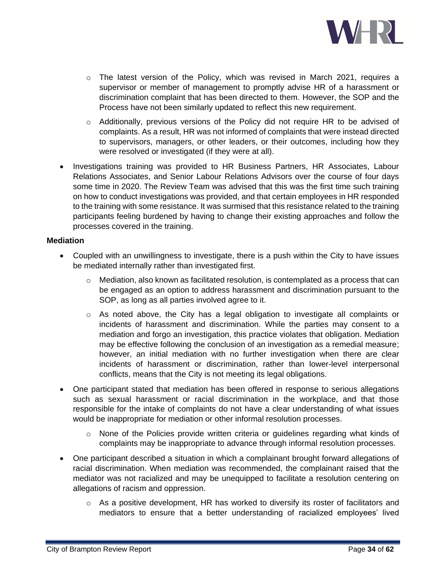

- $\circ$  The latest version of the Policy, which was revised in March 2021, requires a supervisor or member of management to promptly advise HR of a harassment or discrimination complaint that has been directed to them. However, the SOP and the Process have not been similarly updated to reflect this new requirement.
- $\circ$  Additionally, previous versions of the Policy did not require HR to be advised of complaints. As a result, HR was not informed of complaints that were instead directed to supervisors, managers, or other leaders, or their outcomes, including how they were resolved or investigated (if they were at all).
- Investigations training was provided to HR Business Partners, HR Associates, Labour Relations Associates, and Senior Labour Relations Advisors over the course of four days some time in 2020. The Review Team was advised that this was the first time such training on how to conduct investigations was provided, and that certain employees in HR responded to the training with some resistance. It was surmised that this resistance related to the training participants feeling burdened by having to change their existing approaches and follow the processes covered in the training.

#### **Mediation**

- Coupled with an unwillingness to investigate, there is a push within the City to have issues be mediated internally rather than investigated first.
	- $\circ$  Mediation, also known as facilitated resolution, is contemplated as a process that can be engaged as an option to address harassment and discrimination pursuant to the SOP, as long as all parties involved agree to it.
	- $\circ$  As noted above, the City has a legal obligation to investigate all complaints or incidents of harassment and discrimination. While the parties may consent to a mediation and forgo an investigation, this practice violates that obligation. Mediation may be effective following the conclusion of an investigation as a remedial measure; however, an initial mediation with no further investigation when there are clear incidents of harassment or discrimination, rather than lower-level interpersonal conflicts, means that the City is not meeting its legal obligations.
- One participant stated that mediation has been offered in response to serious allegations such as sexual harassment or racial discrimination in the workplace, and that those responsible for the intake of complaints do not have a clear understanding of what issues would be inappropriate for mediation or other informal resolution processes.
	- o None of the Policies provide written criteria or guidelines regarding what kinds of complaints may be inappropriate to advance through informal resolution processes.
- One participant described a situation in which a complainant brought forward allegations of racial discrimination. When mediation was recommended, the complainant raised that the mediator was not racialized and may be unequipped to facilitate a resolution centering on allegations of racism and oppression.
	- o As a positive development, HR has worked to diversify its roster of facilitators and mediators to ensure that a better understanding of racialized employees' lived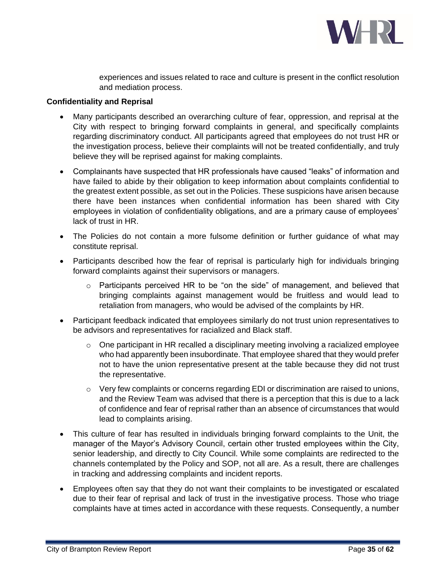

experiences and issues related to race and culture is present in the conflict resolution and mediation process.

#### **Confidentiality and Reprisal**

- Many participants described an overarching culture of fear, oppression, and reprisal at the City with respect to bringing forward complaints in general, and specifically complaints regarding discriminatory conduct. All participants agreed that employees do not trust HR or the investigation process, believe their complaints will not be treated confidentially, and truly believe they will be reprised against for making complaints.
- Complainants have suspected that HR professionals have caused "leaks" of information and have failed to abide by their obligation to keep information about complaints confidential to the greatest extent possible, as set out in the Policies. These suspicions have arisen because there have been instances when confidential information has been shared with City employees in violation of confidentiality obligations, and are a primary cause of employees' lack of trust in HR.
- The Policies do not contain a more fulsome definition or further guidance of what may constitute reprisal.
- Participants described how the fear of reprisal is particularly high for individuals bringing forward complaints against their supervisors or managers.
	- o Participants perceived HR to be "on the side" of management, and believed that bringing complaints against management would be fruitless and would lead to retaliation from managers, who would be advised of the complaints by HR.
- Participant feedback indicated that employees similarly do not trust union representatives to be advisors and representatives for racialized and Black staff.
	- $\circ$  One participant in HR recalled a disciplinary meeting involving a racialized employee who had apparently been insubordinate. That employee shared that they would prefer not to have the union representative present at the table because they did not trust the representative.
	- o Very few complaints or concerns regarding EDI or discrimination are raised to unions, and the Review Team was advised that there is a perception that this is due to a lack of confidence and fear of reprisal rather than an absence of circumstances that would lead to complaints arising.
- This culture of fear has resulted in individuals bringing forward complaints to the Unit, the manager of the Mayor's Advisory Council, certain other trusted employees within the City, senior leadership, and directly to City Council. While some complaints are redirected to the channels contemplated by the Policy and SOP, not all are. As a result, there are challenges in tracking and addressing complaints and incident reports.
- Employees often say that they do not want their complaints to be investigated or escalated due to their fear of reprisal and lack of trust in the investigative process. Those who triage complaints have at times acted in accordance with these requests. Consequently, a number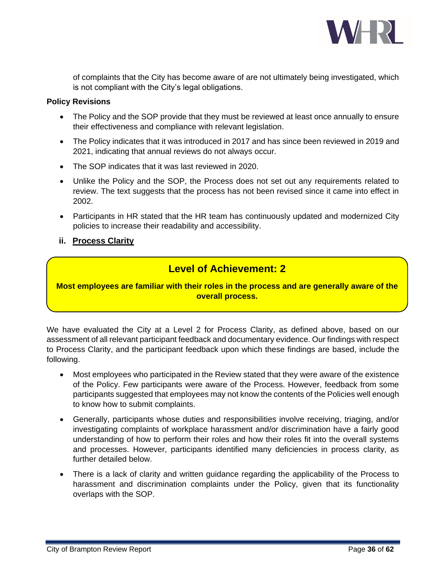

of complaints that the City has become aware of are not ultimately being investigated, which is not compliant with the City's legal obligations.

#### **Policy Revisions**

- The Policy and the SOP provide that they must be reviewed at least once annually to ensure their effectiveness and compliance with relevant legislation.
- The Policy indicates that it was introduced in 2017 and has since been reviewed in 2019 and 2021, indicating that annual reviews do not always occur.
- The SOP indicates that it was last reviewed in 2020.
- Unlike the Policy and the SOP, the Process does not set out any requirements related to review. The text suggests that the process has not been revised since it came into effect in 2002.
- Participants in HR stated that the HR team has continuously updated and modernized City policies to increase their readability and accessibility.

## <span id="page-38-0"></span>**ii. Process Clarity**

# **Level of Achievement: 2**

## **Most employees are familiar with their roles in the process and are generally aware of the overall process.**

**t**

We have evaluated the City at a Level 2 for Process Clarity, as defined above, based on our assessment of all relevant participant feedback and documentary evidence. Our findings with respect to Process Clarity, and the participant feedback upon which these findings are based, include the following.

- Most employees who participated in the Review stated that they were aware of the existence of the Policy. Few participants were aware of the Process. However, feedback from some participants suggested that employees may not know the contents of the Policies well enough to know how to submit complaints.
- Generally, participants whose duties and responsibilities involve receiving, triaging, and/or investigating complaints of workplace harassment and/or discrimination have a fairly good understanding of how to perform their roles and how their roles fit into the overall systems and processes. However, participants identified many deficiencies in process clarity, as further detailed below.
- There is a lack of clarity and written guidance regarding the applicability of the Process to harassment and discrimination complaints under the Policy, given that its functionality overlaps with the SOP.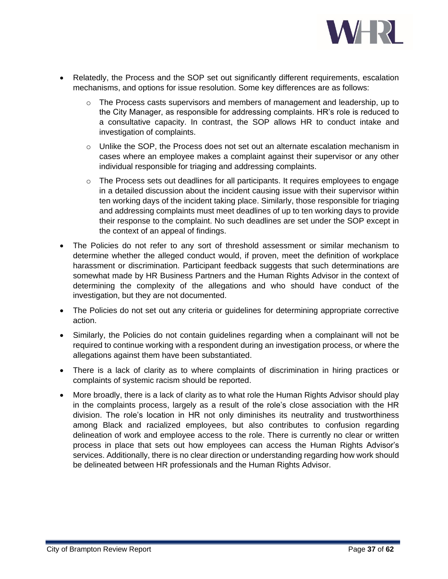

- Relatedly, the Process and the SOP set out significantly different requirements, escalation mechanisms, and options for issue resolution. Some key differences are as follows:
	- $\circ$  The Process casts supervisors and members of management and leadership, up to the City Manager, as responsible for addressing complaints. HR's role is reduced to a consultative capacity. In contrast, the SOP allows HR to conduct intake and investigation of complaints.
	- $\circ$  Unlike the SOP, the Process does not set out an alternate escalation mechanism in cases where an employee makes a complaint against their supervisor or any other individual responsible for triaging and addressing complaints.
	- $\circ$  The Process sets out deadlines for all participants. It requires employees to engage in a detailed discussion about the incident causing issue with their supervisor within ten working days of the incident taking place. Similarly, those responsible for triaging and addressing complaints must meet deadlines of up to ten working days to provide their response to the complaint. No such deadlines are set under the SOP except in the context of an appeal of findings.
- The Policies do not refer to any sort of threshold assessment or similar mechanism to determine whether the alleged conduct would, if proven, meet the definition of workplace harassment or discrimination. Participant feedback suggests that such determinations are somewhat made by HR Business Partners and the Human Rights Advisor in the context of determining the complexity of the allegations and who should have conduct of the investigation, but they are not documented.
- The Policies do not set out any criteria or guidelines for determining appropriate corrective action.
- Similarly, the Policies do not contain guidelines regarding when a complainant will not be required to continue working with a respondent during an investigation process, or where the allegations against them have been substantiated.
- There is a lack of clarity as to where complaints of discrimination in hiring practices or complaints of systemic racism should be reported.
- More broadly, there is a lack of clarity as to what role the Human Rights Advisor should play in the complaints process, largely as a result of the role's close association with the HR division. The role's location in HR not only diminishes its neutrality and trustworthiness among Black and racialized employees, but also contributes to confusion regarding delineation of work and employee access to the role. There is currently no clear or written process in place that sets out how employees can access the Human Rights Advisor's services. Additionally, there is no clear direction or understanding regarding how work should be delineated between HR professionals and the Human Rights Advisor.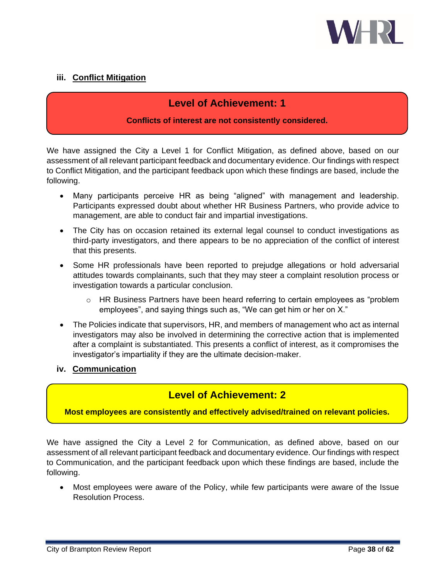

## <span id="page-40-0"></span>**iii. Conflict Mitigation**

# **Level of Achievement: 1**

#### **Conflicts of interest are not consistently considered.**

We have assigned the City a Level 1 for Conflict Mitigation, as defined above, based on our assessment of all relevant participant feedback and documentary evidence. Our findings with respect to Conflict Mitigation, and the participant feedback upon which these findings are based, include the following.

- Many participants perceive HR as being "aligned" with management and leadership. Participants expressed doubt about whether HR Business Partners, who provide advice to management, are able to conduct fair and impartial investigations.
- The City has on occasion retained its external legal counsel to conduct investigations as third-party investigators, and there appears to be no appreciation of the conflict of interest that this presents.
- Some HR professionals have been reported to prejudge allegations or hold adversarial attitudes towards complainants, such that they may steer a complaint resolution process or investigation towards a particular conclusion.
	- $\circ$  HR Business Partners have been heard referring to certain employees as "problem" employees", and saying things such as, "We can get him or her on X."
- The Policies indicate that supervisors, HR, and members of management who act as internal investigators may also be involved in determining the corrective action that is implemented after a complaint is substantiated. This presents a conflict of interest, as it compromises the investigator's impartiality if they are the ultimate decision-maker.

## <span id="page-40-1"></span>**iv. Communication**

# **Level of Achievement: 2**

## **Most employees are consistently and effectively advised/trained on relevant policies.**

We have assigned the City a Level 2 for Communication, as defined above, based on our assessment of all relevant participant feedback and documentary evidence. Our findings with respect to Communication, and the participant feedback upon which these findings are based, include the following.

• Most employees were aware of the Policy, while few participants were aware of the Issue Resolution Process.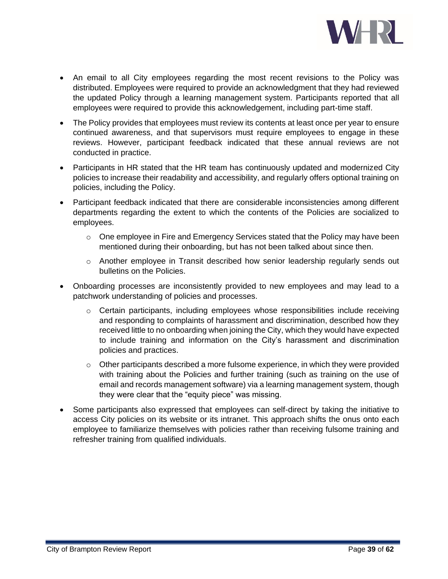

- An email to all City employees regarding the most recent revisions to the Policy was distributed. Employees were required to provide an acknowledgment that they had reviewed the updated Policy through a learning management system. Participants reported that all employees were required to provide this acknowledgement, including part-time staff.
- The Policy provides that employees must review its contents at least once per year to ensure continued awareness, and that supervisors must require employees to engage in these reviews. However, participant feedback indicated that these annual reviews are not conducted in practice.
- Participants in HR stated that the HR team has continuously updated and modernized City policies to increase their readability and accessibility, and regularly offers optional training on policies, including the Policy.
- Participant feedback indicated that there are considerable inconsistencies among different departments regarding the extent to which the contents of the Policies are socialized to employees.
	- $\circ$  One employee in Fire and Emergency Services stated that the Policy may have been mentioned during their onboarding, but has not been talked about since then.
	- o Another employee in Transit described how senior leadership regularly sends out bulletins on the Policies.
- Onboarding processes are inconsistently provided to new employees and may lead to a patchwork understanding of policies and processes.
	- $\circ$  Certain participants, including employees whose responsibilities include receiving and responding to complaints of harassment and discrimination, described how they received little to no onboarding when joining the City, which they would have expected to include training and information on the City's harassment and discrimination policies and practices.
	- $\circ$  Other participants described a more fulsome experience, in which they were provided with training about the Policies and further training (such as training on the use of email and records management software) via a learning management system, though they were clear that the "equity piece" was missing.
- Some participants also expressed that employees can self-direct by taking the initiative to access City policies on its website or its intranet. This approach shifts the onus onto each employee to familiarize themselves with policies rather than receiving fulsome training and refresher training from qualified individuals.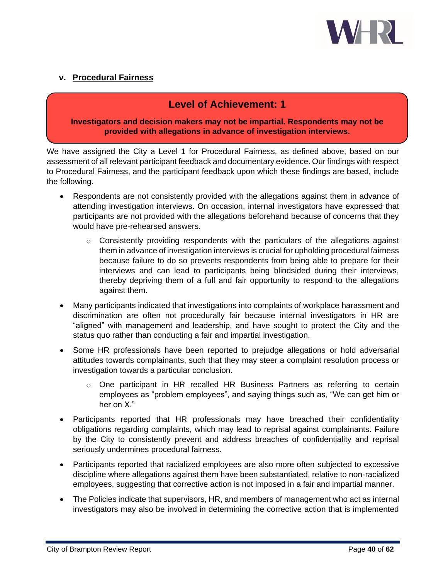

## <span id="page-42-0"></span>**v. Procedural Fairness**

## **Level of Achievement: 1**

**Investigators and decision makers may not be impartial. Respondents may not be provided with allegations in advance of investigation interviews.**

We have assigned the City a Level 1 for Procedural Fairness, as defined above, based on our assessment of all relevant participant feedback and documentary evidence. Our findings with respect to Procedural Fairness, and the participant feedback upon which these findings are based, include the following.

- Respondents are not consistently provided with the allegations against them in advance of attending investigation interviews. On occasion, internal investigators have expressed that participants are not provided with the allegations beforehand because of concerns that they would have pre-rehearsed answers.
	- $\circ$  Consistently providing respondents with the particulars of the allegations against them in advance of investigation interviews is crucial for upholding procedural fairness because failure to do so prevents respondents from being able to prepare for their interviews and can lead to participants being blindsided during their interviews, thereby depriving them of a full and fair opportunity to respond to the allegations against them.
- Many participants indicated that investigations into complaints of workplace harassment and discrimination are often not procedurally fair because internal investigators in HR are "aligned" with management and leadership, and have sought to protect the City and the status quo rather than conducting a fair and impartial investigation.
- Some HR professionals have been reported to prejudge allegations or hold adversarial attitudes towards complainants, such that they may steer a complaint resolution process or investigation towards a particular conclusion.
	- o One participant in HR recalled HR Business Partners as referring to certain employees as "problem employees", and saying things such as, "We can get him or her on X."
- Participants reported that HR professionals may have breached their confidentiality obligations regarding complaints, which may lead to reprisal against complainants. Failure by the City to consistently prevent and address breaches of confidentiality and reprisal seriously undermines procedural fairness.
- Participants reported that racialized employees are also more often subjected to excessive discipline where allegations against them have been substantiated, relative to non-racialized employees, suggesting that corrective action is not imposed in a fair and impartial manner.
- The Policies indicate that supervisors, HR, and members of management who act as internal investigators may also be involved in determining the corrective action that is implemented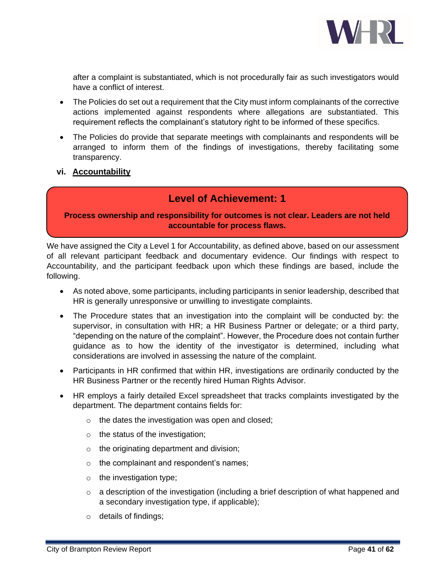

after a complaint is substantiated, which is not procedurally fair as such investigators would have a conflict of interest.

- The Policies do set out a requirement that the City must inform complainants of the corrective actions implemented against respondents where allegations are substantiated. This requirement reflects the complainant's statutory right to be informed of these specifics.
- The Policies do provide that separate meetings with complainants and respondents will be arranged to inform them of the findings of investigations, thereby facilitating some transparency.
- <span id="page-43-0"></span>**vi. Accountability**

# **Level of Achievement: 1**

**Process ownership and responsibility for outcomes is not clear. Leaders are not held accountable for process flaws.**

We have assigned the City a Level 1 for Accountability, as defined above, based on our assessment of all relevant participant feedback and documentary evidence. Our findings with respect to Accountability, and the participant feedback upon which these findings are based, include the following.

- As noted above, some participants, including participants in senior leadership, described that HR is generally unresponsive or unwilling to investigate complaints.
- The Procedure states that an investigation into the complaint will be conducted by: the supervisor, in consultation with HR; a HR Business Partner or delegate; or a third party, "depending on the nature of the complaint". However, the Procedure does not contain further guidance as to how the identity of the investigator is determined, including what considerations are involved in assessing the nature of the complaint.
- Participants in HR confirmed that within HR, investigations are ordinarily conducted by the HR Business Partner or the recently hired Human Rights Advisor.
- HR employs a fairly detailed Excel spreadsheet that tracks complaints investigated by the department. The department contains fields for:
	- o the dates the investigation was open and closed;
	- $\circ$  the status of the investigation;
	- o the originating department and division;
	- o the complainant and respondent's names;
	- $\circ$  the investigation type;
	- $\circ$  a description of the investigation (including a brief description of what happened and a secondary investigation type, if applicable);
	- o details of findings;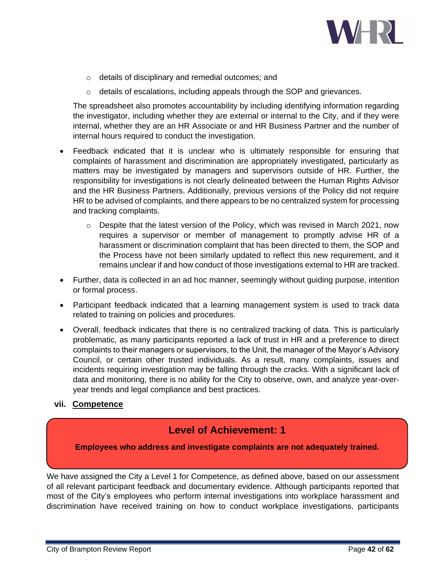

- o details of disciplinary and remedial outcomes; and
- $\circ$  details of escalations, including appeals through the SOP and grievances.

The spreadsheet also promotes accountability by including identifying information regarding the investigator, including whether they are external or internal to the City, and if they were internal, whether they are an HR Associate or and HR Business Partner and the number of internal hours required to conduct the investigation.

- Feedback indicated that it is unclear who is ultimately responsible for ensuring that complaints of harassment and discrimination are appropriately investigated, particularly as matters may be investigated by managers and supervisors outside of HR. Further, the responsibility for investigations is not clearly delineated between the Human Rights Advisor and the HR Business Partners. Additionally, previous versions of the Policy did not require HR to be advised of complaints, and there appears to be no centralized system for processing and tracking complaints.
	- o Despite that the latest version of the Policy, which was revised in March 2021, now requires a supervisor or member of management to promptly advise HR of a harassment or discrimination complaint that has been directed to them, the SOP and the Process have not been similarly updated to reflect this new requirement, and it remains unclear if and how conduct of those investigations external to HR are tracked.
- Further, data is collected in an ad hoc manner, seemingly without guiding purpose, intention or formal process.
- Participant feedback indicated that a learning management system is used to track data related to training on policies and procedures.
- Overall, feedback indicates that there is no centralized tracking of data. This is particularly problematic, as many participants reported a lack of trust in HR and a preference to direct complaints to their managers or supervisors, to the Unit, the manager of the Mayor's Advisory Council, or certain other trusted individuals. As a result, many complaints, issues and incidents requiring investigation may be falling through the cracks. With a significant lack of data and monitoring, there is no ability for the City to observe, own, and analyze year-overyear trends and legal compliance and best practices.

## <span id="page-44-0"></span>**vii. Competence**

## **Level of Achievement: 1**

#### **Employees who address and investigate complaints are not adequately trained.**

We have assigned the City a Level 1 for Competence, as defined above, based on our assessment of all relevant participant feedback and documentary evidence. Although participants reported that most of the City's employees who perform internal investigations into workplace harassment and discrimination have received training on how to conduct workplace investigations, participants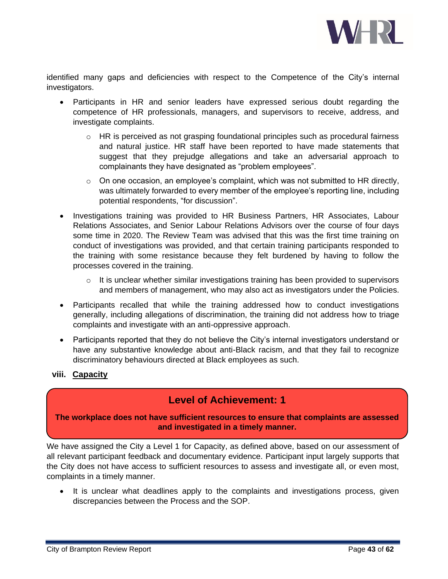

identified many gaps and deficiencies with respect to the Competence of the City's internal investigators.

- Participants in HR and senior leaders have expressed serious doubt regarding the competence of HR professionals, managers, and supervisors to receive, address, and investigate complaints.
	- $\circ$  HR is perceived as not grasping foundational principles such as procedural fairness and natural justice. HR staff have been reported to have made statements that suggest that they prejudge allegations and take an adversarial approach to complainants they have designated as "problem employees".
	- $\circ$  On one occasion, an employee's complaint, which was not submitted to HR directly, was ultimately forwarded to every member of the employee's reporting line, including potential respondents, "for discussion".
- Investigations training was provided to HR Business Partners, HR Associates, Labour Relations Associates, and Senior Labour Relations Advisors over the course of four days some time in 2020. The Review Team was advised that this was the first time training on conduct of investigations was provided, and that certain training participants responded to the training with some resistance because they felt burdened by having to follow the processes covered in the training.
	- $\circ$  It is unclear whether similar investigations training has been provided to supervisors and members of management, who may also act as investigators under the Policies.
- Participants recalled that while the training addressed how to conduct investigations generally, including allegations of discrimination, the training did not address how to triage complaints and investigate with an anti-oppressive approach.
- Participants reported that they do not believe the City's internal investigators understand or have any substantive knowledge about anti-Black racism, and that they fail to recognize discriminatory behaviours directed at Black employees as such.

## <span id="page-45-0"></span>**viii. Capacity**

# **Level of Achievement: 1**

#### **The workplace does not have sufficient resources to ensure that complaints are assessed and investigated in a timely manner.**

We have assigned the City a Level 1 for Capacity, as defined above, based on our assessment of all relevant participant feedback and documentary evidence. Participant input largely supports that the City does not have access to sufficient resources to assess and investigate all, or even most, complaints in a timely manner.

• It is unclear what deadlines apply to the complaints and investigations process, given discrepancies between the Process and the SOP.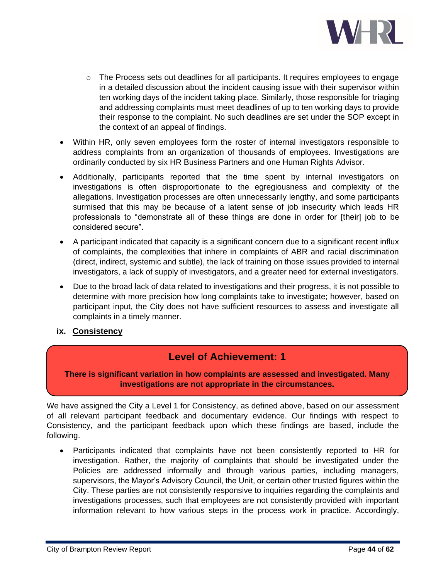

- $\circ$  The Process sets out deadlines for all participants. It requires employees to engage in a detailed discussion about the incident causing issue with their supervisor within ten working days of the incident taking place. Similarly, those responsible for triaging and addressing complaints must meet deadlines of up to ten working days to provide their response to the complaint. No such deadlines are set under the SOP except in the context of an appeal of findings.
- Within HR, only seven employees form the roster of internal investigators responsible to address complaints from an organization of thousands of employees. Investigations are ordinarily conducted by six HR Business Partners and one Human Rights Advisor.
- Additionally, participants reported that the time spent by internal investigators on investigations is often disproportionate to the egregiousness and complexity of the allegations. Investigation processes are often unnecessarily lengthy, and some participants surmised that this may be because of a latent sense of job insecurity which leads HR professionals to "demonstrate all of these things are done in order for [their] job to be considered secure".
- A participant indicated that capacity is a significant concern due to a significant recent influx of complaints, the complexities that inhere in complaints of ABR and racial discrimination (direct, indirect, systemic and subtle), the lack of training on those issues provided to internal investigators, a lack of supply of investigators, and a greater need for external investigators.
- Due to the broad lack of data related to investigations and their progress, it is not possible to determine with more precision how long complaints take to investigate; however, based on participant input, the City does not have sufficient resources to assess and investigate all complaints in a timely manner.
- <span id="page-46-0"></span>**ix. Consistency**

# **Level of Achievement: 1**

## **There is significant variation in how complaints are assessed and investigated. Many investigations are not appropriate in the circumstances.**

We have assigned the City a Level 1 for Consistency, as defined above, based on our assessment of all relevant participant feedback and documentary evidence. Our findings with respect to Consistency, and the participant feedback upon which these findings are based, include the following.

• Participants indicated that complaints have not been consistently reported to HR for investigation. Rather, the majority of complaints that should be investigated under the Policies are addressed informally and through various parties, including managers, supervisors, the Mayor's Advisory Council, the Unit, or certain other trusted figures within the City. These parties are not consistently responsive to inquiries regarding the complaints and investigations processes, such that employees are not consistently provided with important information relevant to how various steps in the process work in practice. Accordingly,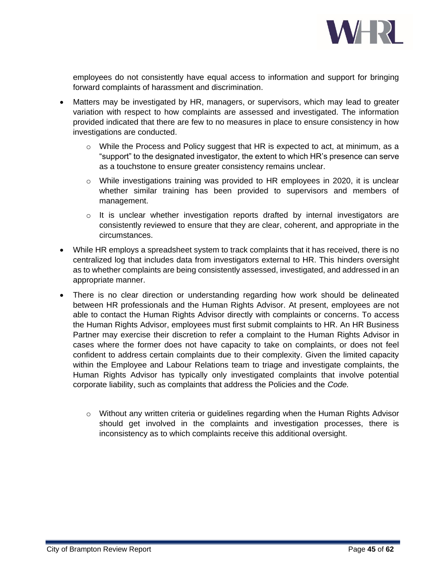

employees do not consistently have equal access to information and support for bringing forward complaints of harassment and discrimination.

- Matters may be investigated by HR, managers, or supervisors, which may lead to greater variation with respect to how complaints are assessed and investigated. The information provided indicated that there are few to no measures in place to ensure consistency in how investigations are conducted.
	- $\circ$  While the Process and Policy suggest that HR is expected to act, at minimum, as a "support" to the designated investigator, the extent to which HR's presence can serve as a touchstone to ensure greater consistency remains unclear.
	- $\circ$  While investigations training was provided to HR employees in 2020, it is unclear whether similar training has been provided to supervisors and members of management.
	- $\circ$  It is unclear whether investigation reports drafted by internal investigators are consistently reviewed to ensure that they are clear, coherent, and appropriate in the circumstances.
- While HR employs a spreadsheet system to track complaints that it has received, there is no centralized log that includes data from investigators external to HR. This hinders oversight as to whether complaints are being consistently assessed, investigated, and addressed in an appropriate manner.
- There is no clear direction or understanding regarding how work should be delineated between HR professionals and the Human Rights Advisor. At present, employees are not able to contact the Human Rights Advisor directly with complaints or concerns. To access the Human Rights Advisor, employees must first submit complaints to HR. An HR Business Partner may exercise their discretion to refer a complaint to the Human Rights Advisor in cases where the former does not have capacity to take on complaints, or does not feel confident to address certain complaints due to their complexity. Given the limited capacity within the Employee and Labour Relations team to triage and investigate complaints, the Human Rights Advisor has typically only investigated complaints that involve potential corporate liability, such as complaints that address the Policies and the *Code.*
	- o Without any written criteria or guidelines regarding when the Human Rights Advisor should get involved in the complaints and investigation processes, there is inconsistency as to which complaints receive this additional oversight.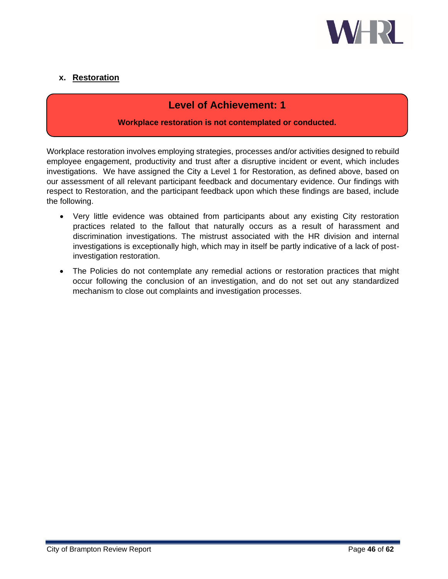

## <span id="page-48-0"></span>**x. Restoration**

`

## **Level of Achievement: 1**

#### **Workplace restoration is not contemplated or conducted.**

Workplace restoration involves employing strategies, processes and/or activities designed to rebuild employee engagement, productivity and trust after a disruptive incident or event, which includes investigations. We have assigned the City a Level 1 for Restoration, as defined above, based on our assessment of all relevant participant feedback and documentary evidence. Our findings with respect to Restoration, and the participant feedback upon which these findings are based, include the following.

- Very little evidence was obtained from participants about any existing City restoration practices related to the fallout that naturally occurs as a result of harassment and discrimination investigations. The mistrust associated with the HR division and internal investigations is exceptionally high, which may in itself be partly indicative of a lack of postinvestigation restoration.
- The Policies do not contemplate any remedial actions or restoration practices that might occur following the conclusion of an investigation, and do not set out any standardized mechanism to close out complaints and investigation processes.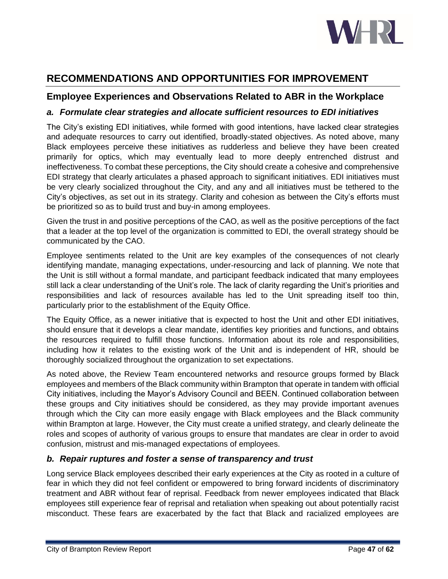

# <span id="page-49-0"></span>**RECOMMENDATIONS AND OPPORTUNITIES FOR IMPROVEMENT**

## <span id="page-49-1"></span>**Employee Experiences and Observations Related to ABR in the Workplace**

## <span id="page-49-2"></span>*a. Formulate clear strategies and allocate sufficient resources to EDI initiatives*

The City's existing EDI initiatives, while formed with good intentions, have lacked clear strategies and adequate resources to carry out identified, broadly-stated objectives. As noted above, many Black employees perceive these initiatives as rudderless and believe they have been created primarily for optics, which may eventually lead to more deeply entrenched distrust and ineffectiveness. To combat these perceptions, the City should create a cohesive and comprehensive EDI strategy that clearly articulates a phased approach to significant initiatives. EDI initiatives must be very clearly socialized throughout the City, and any and all initiatives must be tethered to the City's objectives, as set out in its strategy. Clarity and cohesion as between the City's efforts must be prioritized so as to build trust and buy-in among employees.

Given the trust in and positive perceptions of the CAO, as well as the positive perceptions of the fact that a leader at the top level of the organization is committed to EDI, the overall strategy should be communicated by the CAO.

Employee sentiments related to the Unit are key examples of the consequences of not clearly identifying mandate, managing expectations, under-resourcing and lack of planning. We note that the Unit is still without a formal mandate, and participant feedback indicated that many employees still lack a clear understanding of the Unit's role. The lack of clarity regarding the Unit's priorities and responsibilities and lack of resources available has led to the Unit spreading itself too thin, particularly prior to the establishment of the Equity Office.

The Equity Office, as a newer initiative that is expected to host the Unit and other EDI initiatives, should ensure that it develops a clear mandate, identifies key priorities and functions, and obtains the resources required to fulfill those functions. Information about its role and responsibilities, including how it relates to the existing work of the Unit and is independent of HR, should be thoroughly socialized throughout the organization to set expectations.

As noted above, the Review Team encountered networks and resource groups formed by Black employees and members of the Black community within Brampton that operate in tandem with official City initiatives, including the Mayor's Advisory Council and BEEN. Continued collaboration between these groups and City initiatives should be considered, as they may provide important avenues through which the City can more easily engage with Black employees and the Black community within Brampton at large. However, the City must create a unified strategy, and clearly delineate the roles and scopes of authority of various groups to ensure that mandates are clear in order to avoid confusion, mistrust and mis-managed expectations of employees.

## <span id="page-49-3"></span>*b. Repair ruptures and foster a sense of transparency and trust*

Long service Black employees described their early experiences at the City as rooted in a culture of fear in which they did not feel confident or empowered to bring forward incidents of discriminatory treatment and ABR without fear of reprisal. Feedback from newer employees indicated that Black employees still experience fear of reprisal and retaliation when speaking out about potentially racist misconduct. These fears are exacerbated by the fact that Black and racialized employees are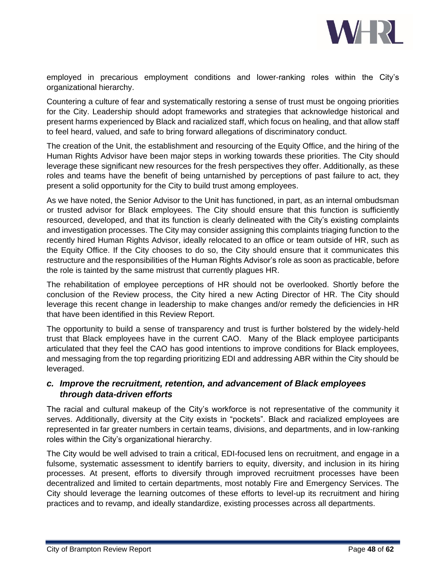

employed in precarious employment conditions and lower-ranking roles within the City's organizational hierarchy.

Countering a culture of fear and systematically restoring a sense of trust must be ongoing priorities for the City. Leadership should adopt frameworks and strategies that acknowledge historical and present harms experienced by Black and racialized staff, which focus on healing, and that allow staff to feel heard, valued, and safe to bring forward allegations of discriminatory conduct.

The creation of the Unit, the establishment and resourcing of the Equity Office, and the hiring of the Human Rights Advisor have been major steps in working towards these priorities. The City should leverage these significant new resources for the fresh perspectives they offer. Additionally, as these roles and teams have the benefit of being untarnished by perceptions of past failure to act, they present a solid opportunity for the City to build trust among employees.

As we have noted, the Senior Advisor to the Unit has functioned, in part, as an internal ombudsman or trusted advisor for Black employees. The City should ensure that this function is sufficiently resourced, developed, and that its function is clearly delineated with the City's existing complaints and investigation processes. The City may consider assigning this complaints triaging function to the recently hired Human Rights Advisor, ideally relocated to an office or team outside of HR, such as the Equity Office. If the City chooses to do so, the City should ensure that it communicates this restructure and the responsibilities of the Human Rights Advisor's role as soon as practicable, before the role is tainted by the same mistrust that currently plagues HR.

The rehabilitation of employee perceptions of HR should not be overlooked. Shortly before the conclusion of the Review process, the City hired a new Acting Director of HR. The City should leverage this recent change in leadership to make changes and/or remedy the deficiencies in HR that have been identified in this Review Report.

The opportunity to build a sense of transparency and trust is further bolstered by the widely-held trust that Black employees have in the current CAO. Many of the Black employee participants articulated that they feel the CAO has good intentions to improve conditions for Black employees, and messaging from the top regarding prioritizing EDI and addressing ABR within the City should be leveraged.

## <span id="page-50-0"></span>*c. Improve the recruitment, retention, and advancement of Black employees through data-driven efforts*

The racial and cultural makeup of the City's workforce is not representative of the community it serves. Additionally, diversity at the City exists in "pockets". Black and racialized employees are represented in far greater numbers in certain teams, divisions, and departments, and in low-ranking roles within the City's organizational hierarchy.

The City would be well advised to train a critical, EDI-focused lens on recruitment, and engage in a fulsome, systematic assessment to identify barriers to equity, diversity, and inclusion in its hiring processes. At present, efforts to diversify through improved recruitment processes have been decentralized and limited to certain departments, most notably Fire and Emergency Services. The City should leverage the learning outcomes of these efforts to level-up its recruitment and hiring practices and to revamp, and ideally standardize, existing processes across all departments.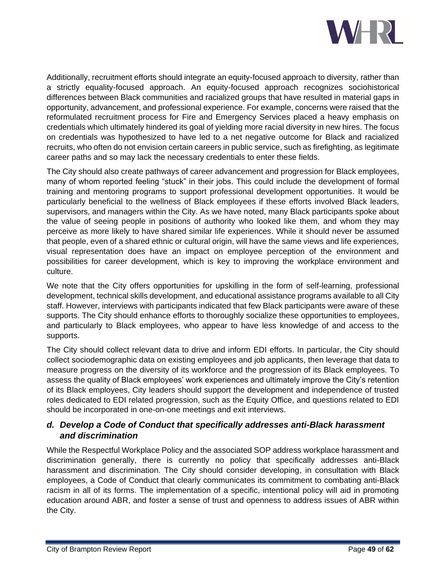

Additionally, recruitment efforts should integrate an equity-focused approach to diversity, rather than a strictly equality-focused approach. An equity-focused approach recognizes sociohistorical differences between Black communities and racialized groups that have resulted in material gaps in opportunity, advancement, and professional experience. For example, concerns were raised that the reformulated recruitment process for Fire and Emergency Services placed a heavy emphasis on credentials which ultimately hindered its goal of yielding more racial diversity in new hires. The focus on credentials was hypothesized to have led to a net negative outcome for Black and racialized recruits, who often do not envision certain careers in public service, such as firefighting, as legitimate career paths and so may lack the necessary credentials to enter these fields.

The City should also create pathways of career advancement and progression for Black employees, many of whom reported feeling "stuck" in their jobs. This could include the development of formal training and mentoring programs to support professional development opportunities. It would be particularly beneficial to the wellness of Black employees if these efforts involved Black leaders, supervisors, and managers within the City. As we have noted, many Black participants spoke about the value of seeing people in positions of authority who looked like them, and whom they may perceive as more likely to have shared similar life experiences. While it should never be assumed that people, even of a shared ethnic or cultural origin, will have the same views and life experiences, visual representation does have an impact on employee perception of the environment and possibilities for career development, which is key to improving the workplace environment and culture.

We note that the City offers opportunities for upskilling in the form of self-learning, professional development, technical skills development, and educational assistance programs available to all City staff. However, interviews with participants indicated that few Black participants were aware of these supports. The City should enhance efforts to thoroughly socialize these opportunities to employees, and particularly to Black employees, who appear to have less knowledge of and access to the supports.

The City should collect relevant data to drive and inform EDI efforts. In particular, the City should collect sociodemographic data on existing employees and job applicants, then leverage that data to measure progress on the diversity of its workforce and the progression of its Black employees. To assess the quality of Black employees' work experiences and ultimately improve the City's retention of its Black employees, City leaders should support the development and independence of trusted roles dedicated to EDI related progression, such as the Equity Office, and questions related to EDI should be incorporated in one-on-one meetings and exit interviews.

## <span id="page-51-0"></span>*d. Develop a Code of Conduct that specifically addresses anti-Black harassment and discrimination*

While the Respectful Workplace Policy and the associated SOP address workplace harassment and discrimination generally, there is currently no policy that specifically addresses anti-Black harassment and discrimination. The City should consider developing, in consultation with Black employees, a Code of Conduct that clearly communicates its commitment to combating anti-Black racism in all of its forms. The implementation of a specific, intentional policy will aid in promoting education around ABR, and foster a sense of trust and openness to address issues of ABR within the City.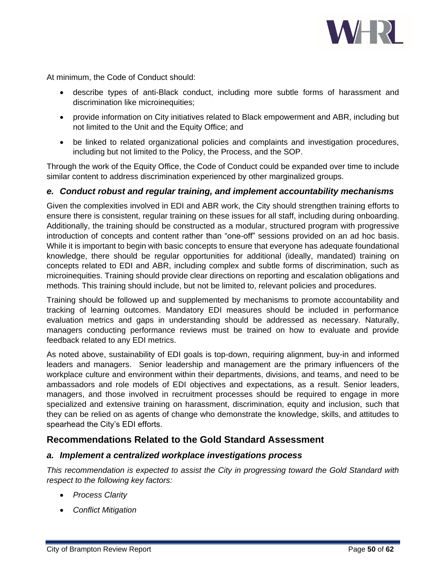

At minimum, the Code of Conduct should:

- describe types of anti-Black conduct, including more subtle forms of harassment and discrimination like microinequities;
- provide information on City initiatives related to Black empowerment and ABR, including but not limited to the Unit and the Equity Office; and
- be linked to related organizational policies and complaints and investigation procedures, including but not limited to the Policy, the Process, and the SOP.

Through the work of the Equity Office, the Code of Conduct could be expanded over time to include similar content to address discrimination experienced by other marginalized groups.

## <span id="page-52-0"></span>*e. Conduct robust and regular training, and implement accountability mechanisms*

Given the complexities involved in EDI and ABR work, the City should strengthen training efforts to ensure there is consistent, regular training on these issues for all staff, including during onboarding. Additionally, the training should be constructed as a modular, structured program with progressive introduction of concepts and content rather than "one-off" sessions provided on an ad hoc basis. While it is important to begin with basic concepts to ensure that everyone has adequate foundational knowledge, there should be regular opportunities for additional (ideally, mandated) training on concepts related to EDI and ABR, including complex and subtle forms of discrimination, such as microinequities. Training should provide clear directions on reporting and escalation obligations and methods. This training should include, but not be limited to, relevant policies and procedures.

Training should be followed up and supplemented by mechanisms to promote accountability and tracking of learning outcomes. Mandatory EDI measures should be included in performance evaluation metrics and gaps in understanding should be addressed as necessary. Naturally, managers conducting performance reviews must be trained on how to evaluate and provide feedback related to any EDI metrics.

As noted above, sustainability of EDI goals is top-down, requiring alignment, buy-in and informed leaders and managers. Senior leadership and management are the primary influencers of the workplace culture and environment within their departments, divisions, and teams, and need to be ambassadors and role models of EDI objectives and expectations, as a result. Senior leaders, managers, and those involved in recruitment processes should be required to engage in more specialized and extensive training on harassment, discrimination, equity and inclusion, such that they can be relied on as agents of change who demonstrate the knowledge, skills, and attitudes to spearhead the City's EDI efforts.

## <span id="page-52-1"></span>**Recommendations Related to the Gold Standard Assessment**

## <span id="page-52-2"></span>*a. Implement a centralized workplace investigations process*

*This recommendation is expected to assist the City in progressing toward the Gold Standard with respect to the following key factors:*

- *Process Clarity*
- *Conflict Mitigation*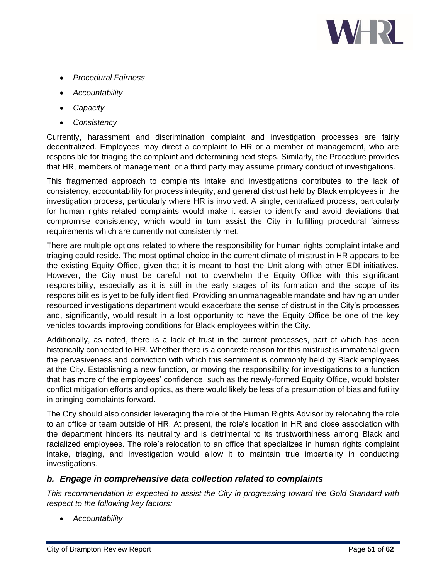

- *Procedural Fairness*
- *Accountability*
- *Capacity*
- *Consistency*

Currently, harassment and discrimination complaint and investigation processes are fairly decentralized. Employees may direct a complaint to HR or a member of management, who are responsible for triaging the complaint and determining next steps. Similarly, the Procedure provides that HR, members of management, or a third party may assume primary conduct of investigations.

This fragmented approach to complaints intake and investigations contributes to the lack of consistency, accountability for process integrity, and general distrust held by Black employees in the investigation process, particularly where HR is involved. A single, centralized process, particularly for human rights related complaints would make it easier to identify and avoid deviations that compromise consistency, which would in turn assist the City in fulfilling procedural fairness requirements which are currently not consistently met.

There are multiple options related to where the responsibility for human rights complaint intake and triaging could reside. The most optimal choice in the current climate of mistrust in HR appears to be the existing Equity Office, given that it is meant to host the Unit along with other EDI initiatives. However, the City must be careful not to overwhelm the Equity Office with this significant responsibility, especially as it is still in the early stages of its formation and the scope of its responsibilities is yet to be fully identified. Providing an unmanageable mandate and having an under resourced investigations department would exacerbate the sense of distrust in the City's processes and, significantly, would result in a lost opportunity to have the Equity Office be one of the key vehicles towards improving conditions for Black employees within the City.

Additionally, as noted, there is a lack of trust in the current processes, part of which has been historically connected to HR. Whether there is a concrete reason for this mistrust is immaterial given the pervasiveness and conviction with which this sentiment is commonly held by Black employees at the City. Establishing a new function, or moving the responsibility for investigations to a function that has more of the employees' confidence, such as the newly-formed Equity Office, would bolster conflict mitigation efforts and optics, as there would likely be less of a presumption of bias and futility in bringing complaints forward.

The City should also consider leveraging the role of the Human Rights Advisor by relocating the role to an office or team outside of HR. At present, the role's location in HR and close association with the department hinders its neutrality and is detrimental to its trustworthiness among Black and racialized employees. The role's relocation to an office that specializes in human rights complaint intake, triaging, and investigation would allow it to maintain true impartiality in conducting investigations.

## <span id="page-53-0"></span>*b. Engage in comprehensive data collection related to complaints*

*This recommendation is expected to assist the City in progressing toward the Gold Standard with respect to the following key factors:*

• *Accountability*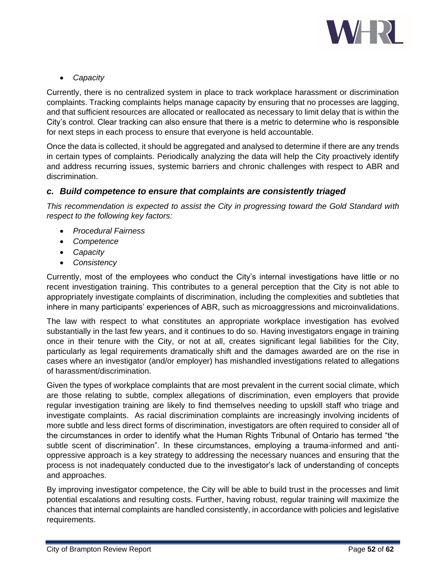

• *Capacity*

Currently, there is no centralized system in place to track workplace harassment or discrimination complaints. Tracking complaints helps manage capacity by ensuring that no processes are lagging, and that sufficient resources are allocated or reallocated as necessary to limit delay that is within the City's control. Clear tracking can also ensure that there is a metric to determine who is responsible for next steps in each process to ensure that everyone is held accountable.

Once the data is collected, it should be aggregated and analysed to determine if there are any trends in certain types of complaints. Periodically analyzing the data will help the City proactively identify and address recurring issues, systemic barriers and chronic challenges with respect to ABR and discrimination.

## <span id="page-54-0"></span>*c. Build competence to ensure that complaints are consistently triaged*

*This recommendation is expected to assist the City in progressing toward the Gold Standard with respect to the following key factors:*

- *Procedural Fairness*
- *Competence*
- *Capacity*
- *Consistency*

Currently, most of the employees who conduct the City's internal investigations have little or no recent investigation training. This contributes to a general perception that the City is not able to appropriately investigate complaints of discrimination, including the complexities and subtleties that inhere in many participants' experiences of ABR, such as microaggressions and microinvalidations.

The law with respect to what constitutes an appropriate workplace investigation has evolved substantially in the last few years, and it continues to do so. Having investigators engage in training once in their tenure with the City, or not at all, creates significant legal liabilities for the City, particularly as legal requirements dramatically shift and the damages awarded are on the rise in cases where an investigator (and/or employer) has mishandled investigations related to allegations of harassment/discrimination.

Given the types of workplace complaints that are most prevalent in the current social climate, which are those relating to subtle, complex allegations of discrimination, even employers that provide regular investigation training are likely to find themselves needing to upskill staff who triage and investigate complaints. As racial discrimination complaints are increasingly involving incidents of more subtle and less direct forms of discrimination, investigators are often required to consider all of the circumstances in order to identify what the Human Rights Tribunal of Ontario has termed "the subtle scent of discrimination". In these circumstances, employing a trauma-informed and antioppressive approach is a key strategy to addressing the necessary nuances and ensuring that the process is not inadequately conducted due to the investigator's lack of understanding of concepts and approaches.

By improving investigator competence, the City will be able to build trust in the processes and limit potential escalations and resulting costs. Further, having robust, regular training will maximize the chances that internal complaints are handled consistently, in accordance with policies and legislative requirements.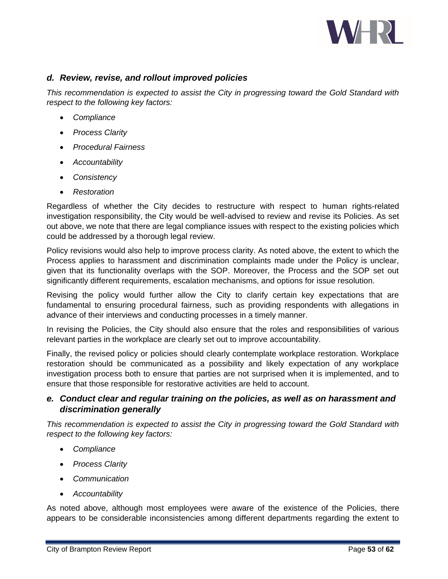

## <span id="page-55-0"></span>*d. Review, revise, and rollout improved policies*

*This recommendation is expected to assist the City in progressing toward the Gold Standard with respect to the following key factors:*

- *Compliance*
- *Process Clarity*
- *Procedural Fairness*
- *Accountability*
- *Consistency*
- *Restoration*

Regardless of whether the City decides to restructure with respect to human rights-related investigation responsibility, the City would be well-advised to review and revise its Policies. As set out above, we note that there are legal compliance issues with respect to the existing policies which could be addressed by a thorough legal review.

Policy revisions would also help to improve process clarity. As noted above, the extent to which the Process applies to harassment and discrimination complaints made under the Policy is unclear, given that its functionality overlaps with the SOP. Moreover, the Process and the SOP set out significantly different requirements, escalation mechanisms, and options for issue resolution.

Revising the policy would further allow the City to clarify certain key expectations that are fundamental to ensuring procedural fairness, such as providing respondents with allegations in advance of their interviews and conducting processes in a timely manner.

In revising the Policies, the City should also ensure that the roles and responsibilities of various relevant parties in the workplace are clearly set out to improve accountability.

Finally, the revised policy or policies should clearly contemplate workplace restoration. Workplace restoration should be communicated as a possibility and likely expectation of any workplace investigation process both to ensure that parties are not surprised when it is implemented, and to ensure that those responsible for restorative activities are held to account.

## <span id="page-55-1"></span>*e. Conduct clear and regular training on the policies, as well as on harassment and discrimination generally*

*This recommendation is expected to assist the City in progressing toward the Gold Standard with respect to the following key factors:*

- *Compliance*
- *Process Clarity*
- *Communication*
- *Accountability*

As noted above, although most employees were aware of the existence of the Policies, there appears to be considerable inconsistencies among different departments regarding the extent to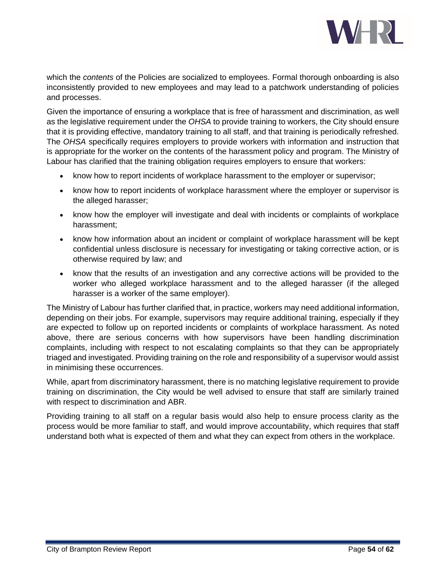

which the *contents* of the Policies are socialized to employees. Formal thorough onboarding is also inconsistently provided to new employees and may lead to a patchwork understanding of policies and processes.

Given the importance of ensuring a workplace that is free of harassment and discrimination, as well as the legislative requirement under the *OHSA* to provide training to workers, the City should ensure that it is providing effective, mandatory training to all staff, and that training is periodically refreshed. The *OHSA* specifically requires employers to provide workers with information and instruction that is appropriate for the worker on the contents of the harassment policy and program. The Ministry of Labour has clarified that the training obligation requires employers to ensure that workers:

- know how to report incidents of workplace harassment to the employer or supervisor;
- know how to report incidents of workplace harassment where the employer or supervisor is the alleged harasser;
- know how the employer will investigate and deal with incidents or complaints of workplace harassment;
- know how information about an incident or complaint of workplace harassment will be kept confidential unless disclosure is necessary for investigating or taking corrective action, or is otherwise required by law; and
- know that the results of an investigation and any corrective actions will be provided to the worker who alleged workplace harassment and to the alleged harasser (if the alleged harasser is a worker of the same employer).

The Ministry of Labour has further clarified that, in practice, workers may need additional information, depending on their jobs. For example, supervisors may require additional training, especially if they are expected to follow up on reported incidents or complaints of workplace harassment. As noted above, there are serious concerns with how supervisors have been handling discrimination complaints, including with respect to not escalating complaints so that they can be appropriately triaged and investigated. Providing training on the role and responsibility of a supervisor would assist in minimising these occurrences.

While, apart from discriminatory harassment, there is no matching legislative requirement to provide training on discrimination, the City would be well advised to ensure that staff are similarly trained with respect to discrimination and ABR.

Providing training to all staff on a regular basis would also help to ensure process clarity as the process would be more familiar to staff, and would improve accountability, which requires that staff understand both what is expected of them and what they can expect from others in the workplace.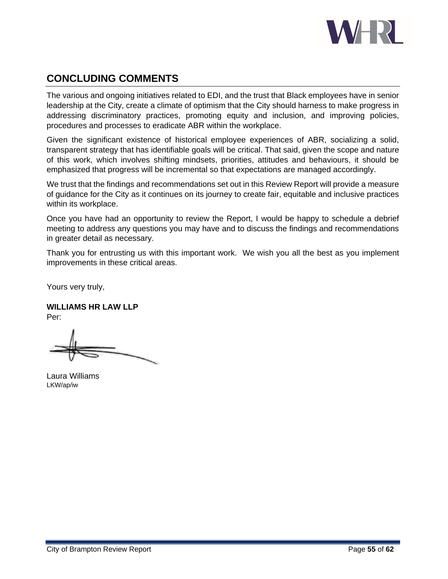

# <span id="page-57-0"></span>**CONCLUDING COMMENTS**

The various and ongoing initiatives related to EDI, and the trust that Black employees have in senior leadership at the City, create a climate of optimism that the City should harness to make progress in addressing discriminatory practices, promoting equity and inclusion, and improving policies, procedures and processes to eradicate ABR within the workplace.

Given the significant existence of historical employee experiences of ABR, socializing a solid, transparent strategy that has identifiable goals will be critical. That said, given the scope and nature of this work, which involves shifting mindsets, priorities, attitudes and behaviours, it should be emphasized that progress will be incremental so that expectations are managed accordingly.

We trust that the findings and recommendations set out in this Review Report will provide a measure of guidance for the City as it continues on its journey to create fair, equitable and inclusive practices within its workplace.

Once you have had an opportunity to review the Report, I would be happy to schedule a debrief meeting to address any questions you may have and to discuss the findings and recommendations in greater detail as necessary.

Thank you for entrusting us with this important work. We wish you all the best as you implement improvements in these critical areas.

Yours very truly,

**WILLIAMS HR LAW LLP** Per:

Laura Williams LKW/ap/iw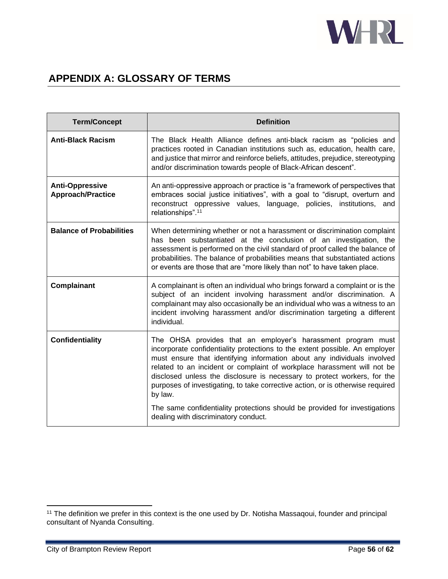

# <span id="page-58-0"></span>**APPENDIX A: GLOSSARY OF TERMS**

| <b>Term/Concept</b>                                | <b>Definition</b>                                                                                                                                                                                                                                                                                                                                                                                                                                                                                                                                        |
|----------------------------------------------------|----------------------------------------------------------------------------------------------------------------------------------------------------------------------------------------------------------------------------------------------------------------------------------------------------------------------------------------------------------------------------------------------------------------------------------------------------------------------------------------------------------------------------------------------------------|
| <b>Anti-Black Racism</b>                           | The Black Health Alliance defines anti-black racism as "policies and<br>practices rooted in Canadian institutions such as, education, health care,<br>and justice that mirror and reinforce beliefs, attitudes, prejudice, stereotyping<br>and/or discrimination towards people of Black-African descent".                                                                                                                                                                                                                                               |
| <b>Anti-Oppressive</b><br><b>Approach/Practice</b> | An anti-oppressive approach or practice is "a framework of perspectives that<br>embraces social justice initiatives", with a goal to "disrupt, overturn and<br>reconstruct oppressive values, language, policies, institutions, and<br>relationships". <sup>11</sup>                                                                                                                                                                                                                                                                                     |
| <b>Balance of Probabilities</b>                    | When determining whether or not a harassment or discrimination complaint<br>has been substantiated at the conclusion of an investigation, the<br>assessment is performed on the civil standard of proof called the balance of<br>probabilities. The balance of probabilities means that substantiated actions<br>or events are those that are "more likely than not" to have taken place.                                                                                                                                                                |
| Complainant                                        | A complainant is often an individual who brings forward a complaint or is the<br>subject of an incident involving harassment and/or discrimination. A<br>complainant may also occasionally be an individual who was a witness to an<br>incident involving harassment and/or discrimination targeting a different<br>individual.                                                                                                                                                                                                                          |
| <b>Confidentiality</b>                             | The OHSA provides that an employer's harassment program must<br>incorporate confidentiality protections to the extent possible. An employer<br>must ensure that identifying information about any individuals involved<br>related to an incident or complaint of workplace harassment will not be<br>disclosed unless the disclosure is necessary to protect workers, for the<br>purposes of investigating, to take corrective action, or is otherwise required<br>by law.<br>The same confidentiality protections should be provided for investigations |
|                                                    | dealing with discriminatory conduct.                                                                                                                                                                                                                                                                                                                                                                                                                                                                                                                     |

<sup>&</sup>lt;sup>11</sup> The definition we prefer in this context is the one used by Dr. Notisha Massaqoui, founder and principal consultant of Nyanda Consulting.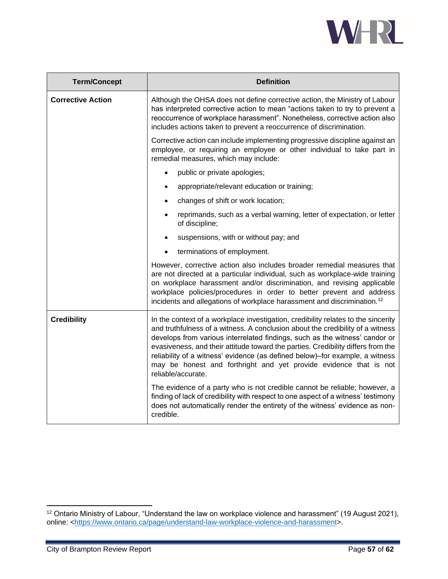

| <b>Term/Concept</b>      | <b>Definition</b>                                                                                                                                                                                                                                                                                                                                                                                                                                                                                                 |
|--------------------------|-------------------------------------------------------------------------------------------------------------------------------------------------------------------------------------------------------------------------------------------------------------------------------------------------------------------------------------------------------------------------------------------------------------------------------------------------------------------------------------------------------------------|
| <b>Corrective Action</b> | Although the OHSA does not define corrective action, the Ministry of Labour<br>has interpreted corrective action to mean "actions taken to try to prevent a<br>reoccurrence of workplace harassment". Nonetheless, corrective action also<br>includes actions taken to prevent a reoccurrence of discrimination.                                                                                                                                                                                                  |
|                          | Corrective action can include implementing progressive discipline against an<br>employee, or requiring an employee or other individual to take part in<br>remedial measures, which may include:                                                                                                                                                                                                                                                                                                                   |
|                          | public or private apologies;                                                                                                                                                                                                                                                                                                                                                                                                                                                                                      |
|                          | appropriate/relevant education or training;<br>$\bullet$                                                                                                                                                                                                                                                                                                                                                                                                                                                          |
|                          | changes of shift or work location;                                                                                                                                                                                                                                                                                                                                                                                                                                                                                |
|                          | reprimands, such as a verbal warning, letter of expectation, or letter<br>$\bullet$<br>of discipline;                                                                                                                                                                                                                                                                                                                                                                                                             |
|                          | suspensions, with or without pay; and                                                                                                                                                                                                                                                                                                                                                                                                                                                                             |
|                          | terminations of employment.                                                                                                                                                                                                                                                                                                                                                                                                                                                                                       |
|                          | However, corrective action also includes broader remedial measures that<br>are not directed at a particular individual, such as workplace-wide training<br>on workplace harassment and/or discrimination, and revising applicable<br>workplace policies/procedures in order to better prevent and address<br>incidents and allegations of workplace harassment and discrimination. <sup>12</sup>                                                                                                                  |
| <b>Credibility</b>       | In the context of a workplace investigation, credibility relates to the sincerity<br>and truthfulness of a witness. A conclusion about the credibility of a witness<br>develops from various interrelated findings, such as the witness' candor or<br>evasiveness, and their attitude toward the parties. Credibility differs from the<br>reliability of a witness' evidence (as defined below)-for example, a witness<br>may be honest and forthright and yet provide evidence that is not<br>reliable/accurate. |
|                          | The evidence of a party who is not credible cannot be reliable; however, a<br>finding of lack of credibility with respect to one aspect of a witness' testimony<br>does not automatically render the entirety of the witness' evidence as non-<br>credible.                                                                                                                                                                                                                                                       |

 $12$  Ontario Ministry of Labour, "Understand the law on workplace violence and harassment" (19 August 2021), online: [<https://www.ontario.ca/page/understand-law-workplace-violence-and-harassment>](https://www.ontario.ca/page/understand-law-workplace-violence-and-harassment).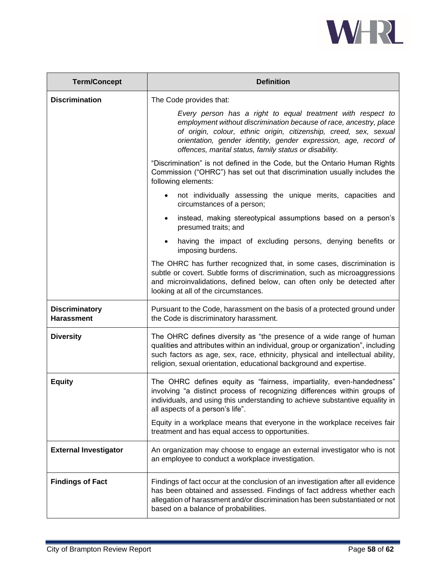

| <b>Term/Concept</b>                 | <b>Definition</b>                                                                                                                                                                                                                                                                                                                   |
|-------------------------------------|-------------------------------------------------------------------------------------------------------------------------------------------------------------------------------------------------------------------------------------------------------------------------------------------------------------------------------------|
| <b>Discrimination</b>               | The Code provides that:                                                                                                                                                                                                                                                                                                             |
|                                     | Every person has a right to equal treatment with respect to<br>employment without discrimination because of race, ancestry, place<br>of origin, colour, ethnic origin, citizenship, creed, sex, sexual<br>orientation, gender identity, gender expression, age, record of<br>offences, marital status, family status or disability. |
|                                     | "Discrimination" is not defined in the Code, but the Ontario Human Rights<br>Commission ("OHRC") has set out that discrimination usually includes the<br>following elements:                                                                                                                                                        |
|                                     | not individually assessing the unique merits, capacities and<br>circumstances of a person;                                                                                                                                                                                                                                          |
|                                     | instead, making stereotypical assumptions based on a person's<br>$\bullet$<br>presumed traits; and                                                                                                                                                                                                                                  |
|                                     | having the impact of excluding persons, denying benefits or<br>imposing burdens.                                                                                                                                                                                                                                                    |
|                                     | The OHRC has further recognized that, in some cases, discrimination is<br>subtle or covert. Subtle forms of discrimination, such as microaggressions<br>and microinvalidations, defined below, can often only be detected after<br>looking at all of the circumstances.                                                             |
| <b>Discriminatory</b><br>Harassment | Pursuant to the Code, harassment on the basis of a protected ground under<br>the Code is discriminatory harassment.                                                                                                                                                                                                                 |
| <b>Diversity</b>                    | The OHRC defines diversity as "the presence of a wide range of human<br>qualities and attributes within an individual, group or organization", including<br>such factors as age, sex, race, ethnicity, physical and intellectual ability,<br>religion, sexual orientation, educational background and expertise.                    |
| <b>Equity</b>                       | The OHRC defines equity as "fairness, impartiality, even-handedness"<br>involving "a distinct process of recognizing differences within groups of<br>individuals, and using this understanding to achieve substantive equality in<br>all aspects of a person's life".                                                               |
|                                     | Equity in a workplace means that everyone in the workplace receives fair<br>treatment and has equal access to opportunities.                                                                                                                                                                                                        |
| <b>External Investigator</b>        | An organization may choose to engage an external investigator who is not<br>an employee to conduct a workplace investigation.                                                                                                                                                                                                       |
| <b>Findings of Fact</b>             | Findings of fact occur at the conclusion of an investigation after all evidence<br>has been obtained and assessed. Findings of fact address whether each<br>allegation of harassment and/or discrimination has been substantiated or not<br>based on a balance of probabilities.                                                    |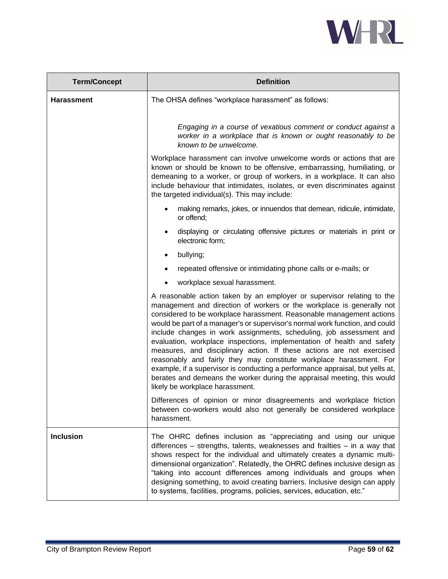

| <b>Term/Concept</b> | <b>Definition</b>                                                                                                                                                                                                                                                                                                                                                                                                                                                                                                                                                                                                                                                                                                                                                                                       |
|---------------------|---------------------------------------------------------------------------------------------------------------------------------------------------------------------------------------------------------------------------------------------------------------------------------------------------------------------------------------------------------------------------------------------------------------------------------------------------------------------------------------------------------------------------------------------------------------------------------------------------------------------------------------------------------------------------------------------------------------------------------------------------------------------------------------------------------|
| <b>Harassment</b>   | The OHSA defines "workplace harassment" as follows:                                                                                                                                                                                                                                                                                                                                                                                                                                                                                                                                                                                                                                                                                                                                                     |
|                     | Engaging in a course of vexatious comment or conduct against a<br>worker in a workplace that is known or ought reasonably to be<br>known to be unwelcome.                                                                                                                                                                                                                                                                                                                                                                                                                                                                                                                                                                                                                                               |
|                     | Workplace harassment can involve unwelcome words or actions that are<br>known or should be known to be offensive, embarrassing, humiliating, or<br>demeaning to a worker, or group of workers, in a workplace. It can also<br>include behaviour that intimidates, isolates, or even discriminates against<br>the targeted individual(s). This may include:                                                                                                                                                                                                                                                                                                                                                                                                                                              |
|                     | making remarks, jokes, or innuendos that demean, ridicule, intimidate,<br>or offend;                                                                                                                                                                                                                                                                                                                                                                                                                                                                                                                                                                                                                                                                                                                    |
|                     | displaying or circulating offensive pictures or materials in print or<br>electronic form;                                                                                                                                                                                                                                                                                                                                                                                                                                                                                                                                                                                                                                                                                                               |
|                     | bullying;<br>٠                                                                                                                                                                                                                                                                                                                                                                                                                                                                                                                                                                                                                                                                                                                                                                                          |
|                     | repeated offensive or intimidating phone calls or e-mails; or                                                                                                                                                                                                                                                                                                                                                                                                                                                                                                                                                                                                                                                                                                                                           |
|                     | workplace sexual harassment.                                                                                                                                                                                                                                                                                                                                                                                                                                                                                                                                                                                                                                                                                                                                                                            |
|                     | A reasonable action taken by an employer or supervisor relating to the<br>management and direction of workers or the workplace is generally not<br>considered to be workplace harassment. Reasonable management actions<br>would be part of a manager's or supervisor's normal work function, and could<br>include changes in work assignments, scheduling, job assessment and<br>evaluation, workplace inspections, implementation of health and safety<br>measures, and disciplinary action. If these actions are not exercised<br>reasonably and fairly they may constitute workplace harassment. For<br>example, if a supervisor is conducting a performance appraisal, but yells at,<br>berates and demeans the worker during the appraisal meeting, this would<br>likely be workplace harassment. |
|                     | Differences of opinion or minor disagreements and workplace friction<br>between co-workers would also not generally be considered workplace<br>harassment.                                                                                                                                                                                                                                                                                                                                                                                                                                                                                                                                                                                                                                              |
| <b>Inclusion</b>    | The OHRC defines inclusion as "appreciating and using our unique<br>differences $-$ strengths, talents, weaknesses and frailties $-$ in a way that<br>shows respect for the individual and ultimately creates a dynamic multi-<br>dimensional organization". Relatedly, the OHRC defines inclusive design as<br>"taking into account differences among individuals and groups when<br>designing something, to avoid creating barriers. Inclusive design can apply<br>to systems, facilities, programs, policies, services, education, etc."                                                                                                                                                                                                                                                             |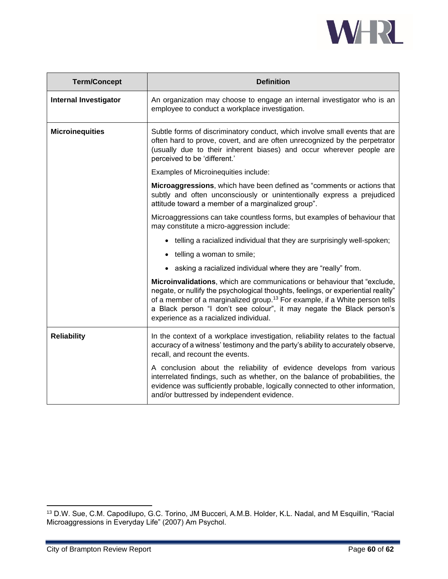

| <b>Term/Concept</b>          | <b>Definition</b>                                                                                                                                                                                                                                                                                                                                                           |
|------------------------------|-----------------------------------------------------------------------------------------------------------------------------------------------------------------------------------------------------------------------------------------------------------------------------------------------------------------------------------------------------------------------------|
| <b>Internal Investigator</b> | An organization may choose to engage an internal investigator who is an<br>employee to conduct a workplace investigation.                                                                                                                                                                                                                                                   |
| <b>Microinequities</b>       | Subtle forms of discriminatory conduct, which involve small events that are<br>often hard to prove, covert, and are often unrecognized by the perpetrator<br>(usually due to their inherent biases) and occur wherever people are<br>perceived to be 'different.'                                                                                                           |
|                              | Examples of Microinequities include:                                                                                                                                                                                                                                                                                                                                        |
|                              | Microaggressions, which have been defined as "comments or actions that<br>subtly and often unconsciously or unintentionally express a prejudiced<br>attitude toward a member of a marginalized group".                                                                                                                                                                      |
|                              | Microaggressions can take countless forms, but examples of behaviour that<br>may constitute a micro-aggression include:                                                                                                                                                                                                                                                     |
|                              | • telling a racialized individual that they are surprisingly well-spoken;                                                                                                                                                                                                                                                                                                   |
|                              | • telling a woman to smile;                                                                                                                                                                                                                                                                                                                                                 |
|                              | • asking a racialized individual where they are "really" from.                                                                                                                                                                                                                                                                                                              |
|                              | Microinvalidations, which are communications or behaviour that "exclude,<br>negate, or nullify the psychological thoughts, feelings, or experiential reality"<br>of a member of a marginalized group. <sup>13</sup> For example, if a White person tells<br>a Black person "I don't see colour", it may negate the Black person's<br>experience as a racialized individual. |
| <b>Reliability</b>           | In the context of a workplace investigation, reliability relates to the factual<br>accuracy of a witness' testimony and the party's ability to accurately observe,<br>recall, and recount the events.                                                                                                                                                                       |
|                              | A conclusion about the reliability of evidence develops from various<br>interrelated findings, such as whether, on the balance of probabilities, the<br>evidence was sufficiently probable, logically connected to other information,<br>and/or buttressed by independent evidence.                                                                                         |

<sup>13</sup> D.W. Sue, C.M. Capodilupo, G.C. Torino, JM Bucceri, A.M.B. Holder, K.L. Nadal, and M Esquillin, "Racial Microaggressions in Everyday Life" (2007) Am Psychol.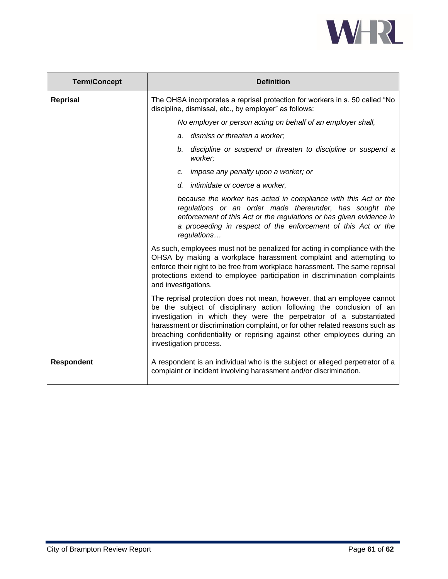

| <b>Term/Concept</b> | <b>Definition</b>                                                                                                                                                                                                                                                                                                                                                                                            |
|---------------------|--------------------------------------------------------------------------------------------------------------------------------------------------------------------------------------------------------------------------------------------------------------------------------------------------------------------------------------------------------------------------------------------------------------|
| Reprisal            | The OHSA incorporates a reprisal protection for workers in s. 50 called "No<br>discipline, dismissal, etc., by employer" as follows:                                                                                                                                                                                                                                                                         |
|                     | No employer or person acting on behalf of an employer shall,                                                                                                                                                                                                                                                                                                                                                 |
|                     | dismiss or threaten a worker;<br>a.                                                                                                                                                                                                                                                                                                                                                                          |
|                     | discipline or suspend or threaten to discipline or suspend a<br>b.<br>worker;                                                                                                                                                                                                                                                                                                                                |
|                     | impose any penalty upon a worker; or<br>c.                                                                                                                                                                                                                                                                                                                                                                   |
|                     | intimidate or coerce a worker,<br>d.                                                                                                                                                                                                                                                                                                                                                                         |
|                     | because the worker has acted in compliance with this Act or the<br>regulations or an order made thereunder, has sought the<br>enforcement of this Act or the regulations or has given evidence in<br>a proceeding in respect of the enforcement of this Act or the<br>regulations                                                                                                                            |
|                     | As such, employees must not be penalized for acting in compliance with the<br>OHSA by making a workplace harassment complaint and attempting to<br>enforce their right to be free from workplace harassment. The same reprisal<br>protections extend to employee participation in discrimination complaints<br>and investigations.                                                                           |
|                     | The reprisal protection does not mean, however, that an employee cannot<br>be the subject of disciplinary action following the conclusion of an<br>investigation in which they were the perpetrator of a substantiated<br>harassment or discrimination complaint, or for other related reasons such as<br>breaching confidentiality or reprising against other employees during an<br>investigation process. |
| <b>Respondent</b>   | A respondent is an individual who is the subject or alleged perpetrator of a<br>complaint or incident involving harassment and/or discrimination.                                                                                                                                                                                                                                                            |